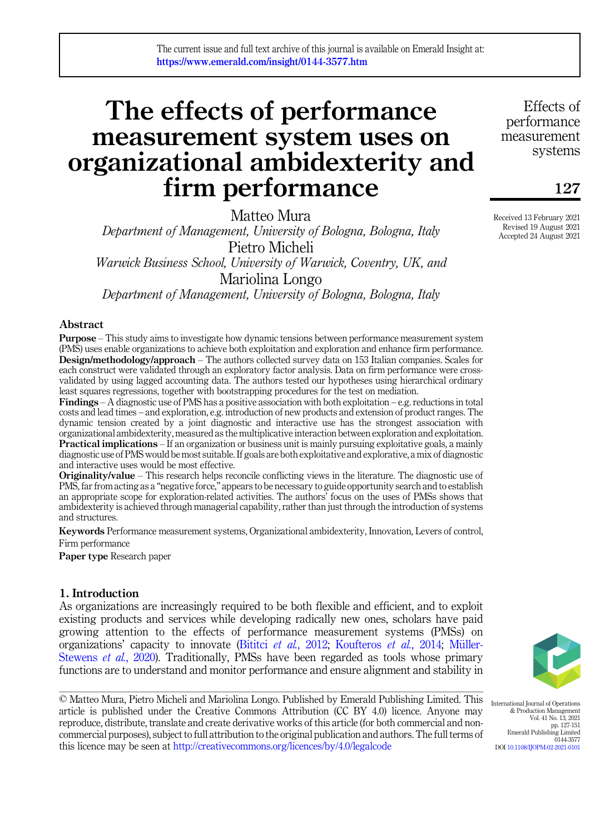# The effects of performance measurement system uses on organizational ambidexterity and firm performance

Matteo Mura

Department of Management, University of Bologna, Bologna, Italy Pietro Micheli Warwick Business School, University of Warwick, Coventry, UK, and Mariolina Longo

Department of Management, University of Bologna, Bologna, Italy

## Abstract

Purpose – This study aims to investigate how dynamic tensions between performance measurement system (PMS) uses enable organizations to achieve both exploitation and exploration and enhance firm performance. Design/methodology/approach – The authors collected survey data on 153 Italian companies. Scales for each construct were validated through an exploratory factor analysis. Data on firm performance were crossvalidated by using lagged accounting data. The authors tested our hypotheses using hierarchical ordinary least squares regressions, together with bootstrapping procedures for the test on mediation.

**Findings** – A diagnostic use of PMS has a positive association with both exploitation – e.g. reductions in total costs and lead times – and exploration, e.g. introduction of new products and extension of product ranges. The dynamic tension created by a joint diagnostic and interactive use has the strongest association with organizational ambidexterity, measured as the multiplicative interaction between exploration and exploitation. Practical implications – If an organization or business unit is mainly pursuing exploitative goals, a mainly diagnostic use of PMS would be most suitable. If goals are both exploitative and explorative, a mix of diagnostic and interactive uses would be most effective.

Originality/value – This research helps reconcile conflicting views in the literature. The diagnostic use of PMS, far from acting as a "negative force," appears to be necessary to guide opportunity search and to establish an appropriate scope for exploration-related activities. The authors' focus on the uses of PMSs shows that ambidexterity is achieved through managerial capability, rather than just through the introduction of systems and structures.

Keywords Performance measurement systems, Organizational ambidexterity, Innovation, Levers of control, Firm performance

Paper type Research paper

# 1. Introduction

As organizations are increasingly required to be both flexible and efficient, and to exploit existing products and services while developing radically new ones, scholars have paid growing attention to the effects of performance measurement systems (PMSs) on organizations' capacity to innovate (Bititci et al.[, 2012](#page-19-0); [Koufteros](#page-21-0) et al., 2014; Müller-[Stewens](#page-21-1) *et al.*, 2020). Traditionally, PMSs have been regarded as tools whose primary functions are to understand and monitor performance and ensure alignment and stability in



0144-3577

International Journal of Operations & Production Management Vol. 41 No. 13, 2021 pp. 127-151 Emerald Publishing Limited

DOI [10.1108/IJOPM-02-2021-0101](https://doi.org/10.1108/IJOPM-02-2021-0101)

© Matteo Mura, Pietro Micheli and Mariolina Longo. Published by Emerald Publishing Limited. This article is published under the Creative Commons Attribution (CC BY 4.0) licence. Anyone may reproduce, distribute, translate and create derivative works of this article (for both commercial and noncommercial purposes), subject to full attribution to the original publication and authors. The full terms of this licence may be seen at <http://creativecommons.org/licences/by/4.0/legalcode>

Effects of performance measurement systems

127

Received 13 February 2021 Revised 19 August 2021 Accepted 24 August 2021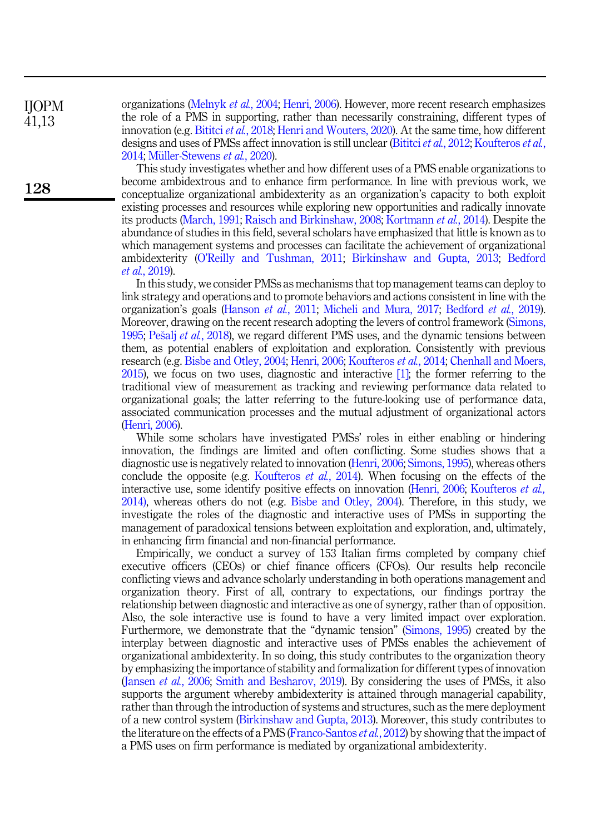organizations ([Melnyk](#page-21-2) et al., 2004; [Henri, 2006](#page-20-0)). However, more recent research emphasizes the role of a PMS in supporting, rather than necessarily constraining, different types of innovation (e.g. [Bititci](#page-19-1) et al., 2018; [Henri and Wouters, 2020](#page-20-1)). At the same time, how different designs and uses of PMSs affect innovation is still unclear [\(Bititci](#page-19-0) *et al.*, 2012; [Koufteros](#page-21-0) *et al.*, [2014;](#page-21-0) Müller-Stewens et al., 2020).

This study investigates whether and how different uses of a PMS enable organizations to become ambidextrous and to enhance firm performance. In line with previous work, we conceptualize organizational ambidexterity as an organization's capacity to both exploit existing processes and resources while exploring new opportunities and radically innovate its products [\(March, 1991;](#page-21-3) [Raisch and Birkinshaw, 2008;](#page-22-0) [Kortmann](#page-21-4) et al., 2014). Despite the abundance of studies in this field, several scholars have emphasized that little is known as to which management systems and processes can facilitate the achievement of organizational ambidexterity (O'[Reilly and Tushman, 2011;](#page-21-5) [Birkinshaw and Gupta, 2013;](#page-19-2) [Bedford](#page-19-3) et al.[, 2019\)](#page-19-3).

In this study, we consider PMSs as mechanisms that top management teams can deploy to link strategy and operations and to promote behaviors and actions consistent in line with the organization's goals ([Hanson](#page-20-2) et al., 2011; [Micheli and Mura, 2017](#page-21-6); [Bedford](#page-19-3) et al., 2019). Moreover, drawing on the recent research adopting the levers of control framework [\(Simons,](#page-22-1) [1995;](#page-22-1) [Pe](#page-21-7)šalj et al.[, 2018\)](#page-21-7), we regard different PMS uses, and the dynamic tensions between them, as potential enablers of exploitation and exploration. Consistently with previous research (e.g. [Bisbe and Otley, 2004](#page-19-4); [Henri, 2006](#page-20-0); [Koufteros](#page-21-0) *et al.*, 2014; [Chenhall and Moers,](#page-20-3) [2015\)](#page-20-3), we focus on two uses, diagnostic and interactive [\[1\]](#page-19-5); the former referring to the traditional view of measurement as tracking and reviewing performance data related to organizational goals; the latter referring to the future-looking use of performance data, associated communication processes and the mutual adjustment of organizational actors ([Henri, 2006\)](#page-20-0).

While some scholars have investigated PMSs' roles in either enabling or hindering innovation, the findings are limited and often conflicting. Some studies shows that a diagnostic use is negatively related to innovation ([Henri, 2006;](#page-20-0) [Simons, 1995](#page-22-1)), whereas others conclude the opposite (e.g. [Koufteros](#page-21-0)  $et$  al., 2014). When focusing on the effects of the interactive use, some identify positive effects on innovation [\(Henri, 2006](#page-20-0); [Koufteros](#page-21-0) *et al.*, [2014\)](#page-21-0), whereas others do not (e.g. [Bisbe and Otley, 2004](#page-19-4)). Therefore, in this study, we investigate the roles of the diagnostic and interactive uses of PMSs in supporting the management of paradoxical tensions between exploitation and exploration, and, ultimately, in enhancing firm financial and non-financial performance.

Empirically, we conduct a survey of 153 Italian firms completed by company chief executive officers (CEOs) or chief finance officers (CFOs). Our results help reconcile conflicting views and advance scholarly understanding in both operations management and organization theory. First of all, contrary to expectations, our findings portray the relationship between diagnostic and interactive as one of synergy, rather than of opposition. Also, the sole interactive use is found to have a very limited impact over exploration. Furthermore, we demonstrate that the "dynamic tension" ([Simons, 1995\)](#page-22-1) created by the interplay between diagnostic and interactive uses of PMSs enables the achievement of organizational ambidexterity. In so doing, this study contributes to the organization theory by emphasizing the importance of stability and formalization for different types of innovation ([Jansen](#page-20-4) et al., 2006; [Smith and Besharov, 2019\)](#page-22-2). By considering the uses of PMSs, it also supports the argument whereby ambidexterity is attained through managerial capability, rather than through the introduction of systems and structures, such as the mere deployment of a new control system [\(Birkinshaw and Gupta, 2013](#page-19-2)). Moreover, this study contributes to the literature on the effects of a PMS ([Franco-Santos](#page-20-5) *et al.*, 2012) by showing that the impact of a PMS uses on firm performance is mediated by organizational ambidexterity.

IJOPM 41,13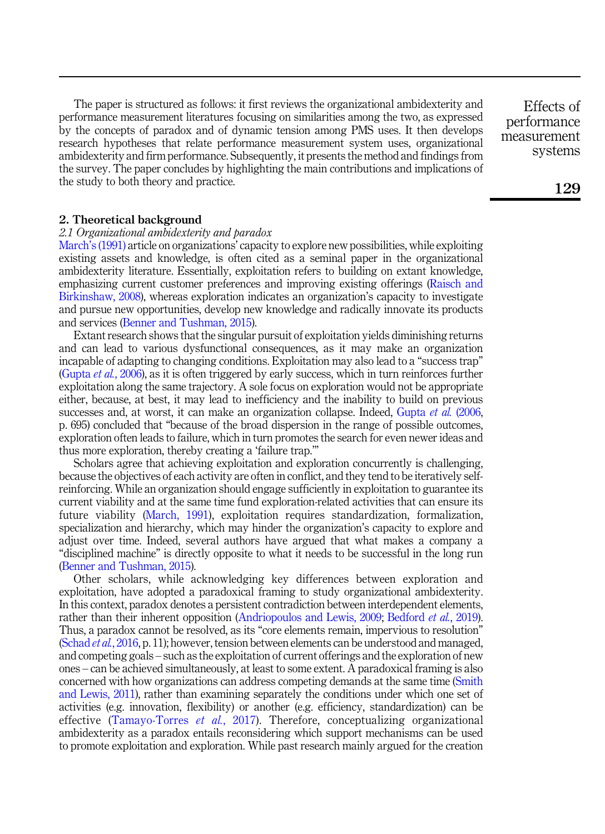The paper is structured as follows: it first reviews the organizational ambidexterity and performance measurement literatures focusing on similarities among the two, as expressed by the concepts of paradox and of dynamic tension among PMS uses. It then develops research hypotheses that relate performance measurement system uses, organizational ambidexterity and firm performance. Subsequently, it presents the method and findings from the survey. The paper concludes by highlighting the main contributions and implications of the study to both theory and practice.

2. Theoretical background

## 2.1 Organizational ambidexterity and paradox

March'[s \(1991\)](#page-21-3) article on organizations' capacity to explore new possibilities, while exploiting existing assets and knowledge, is often cited as a seminal paper in the organizational ambidexterity literature. Essentially, exploitation refers to building on extant knowledge, emphasizing current customer preferences and improving existing offerings ([Raisch and](#page-22-0) [Birkinshaw, 2008\)](#page-22-0), whereas exploration indicates an organization's capacity to investigate and pursue new opportunities, develop new knowledge and radically innovate its products and services [\(Benner and Tushman, 2015](#page-19-6)).

Extant research shows that the singular pursuit of exploitation yields diminishing returns and can lead to various dysfunctional consequences, as it may make an organization incapable of adapting to changing conditions. Exploitation may also lead to a "success trap" ([Gupta](#page-20-6) et al., 2006), as it is often triggered by early success, which in turn reinforces further exploitation along the same trajectory. A sole focus on exploration would not be appropriate either, because, at best, it may lead to inefficiency and the inability to build on previous successes and, at worst, it can make an organization collapse. Indeed, [Gupta](#page-20-6) et al. (2006, p. 695) concluded that "because of the broad dispersion in the range of possible outcomes, exploration often leads to failure, which in turn promotes the search for even newer ideas and thus more exploration, thereby creating a 'failure trap.'"

Scholars agree that achieving exploitation and exploration concurrently is challenging, because the objectives of each activity are often in conflict, and they tend to be iteratively selfreinforcing. While an organization should engage sufficiently in exploitation to guarantee its current viability and at the same time fund exploration-related activities that can ensure its future viability ([March, 1991](#page-21-3)), exploitation requires standardization, formalization, specialization and hierarchy, which may hinder the organization's capacity to explore and adjust over time. Indeed, several authors have argued that what makes a company a "disciplined machine" is directly opposite to what it needs to be successful in the long run ([Benner and Tushman, 2015\)](#page-19-6).

Other scholars, while acknowledging key differences between exploration and exploitation, have adopted a paradoxical framing to study organizational ambidexterity. In this context, paradox denotes a persistent contradiction between interdependent elements, rather than their inherent opposition [\(Andriopoulos and Lewis, 2009](#page-19-7); [Bedford](#page-19-3) *et al.*, 2019). Thus, a paradox cannot be resolved, as its "core elements remain, impervious to resolution" ([Schad](#page-22-3) et al., 2016, p. 11); however, tension between elements can be understood and managed, and competing goals – such as the exploitation of current offerings and the exploration of new ones – can be achieved simultaneously, at least to some extent. A paradoxical framing is also concerned with how organizations can address competing demands at the same time ([Smith](#page-22-4) [and Lewis, 2011](#page-22-4)), rather than examining separately the conditions under which one set of activities (e.g. innovation, flexibility) or another (e.g. efficiency, standardization) can be effective ([Tamayo-Torres](#page-22-5) et al., 2017). Therefore, conceptualizing organizational ambidexterity as a paradox entails reconsidering which support mechanisms can be used to promote exploitation and exploration. While past research mainly argued for the creation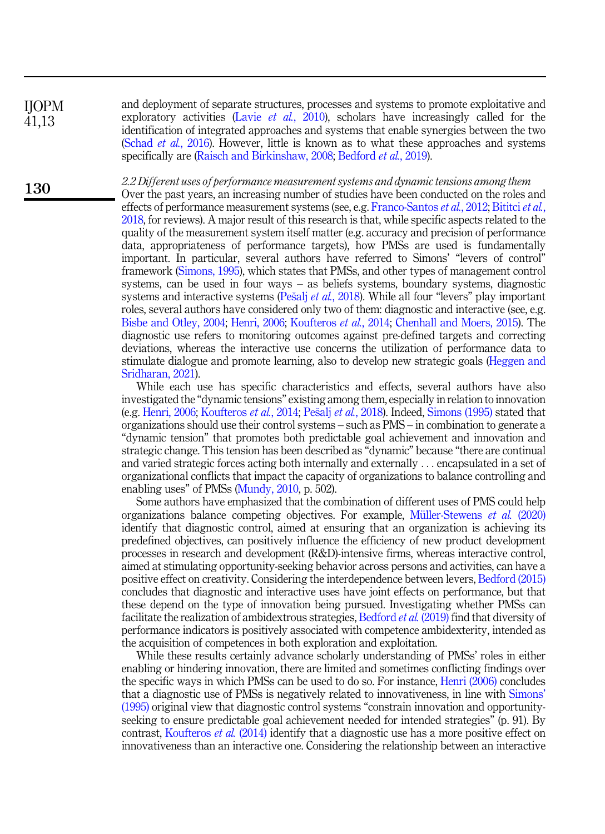IJOPM 41,13

130

and deployment of separate structures, processes and systems to promote exploitative and exploratory activities (Lavie *et al.*[, 2010\)](#page-21-8), scholars have increasingly called for the identification of integrated approaches and systems that enable synergies between the two (Schad *et al.*[, 2016\)](#page-22-3). However, little is known as to what these approaches and systems specifically are ([Raisch and Birkinshaw, 2008;](#page-22-0) [Bedford](#page-19-3) et al., 2019).

2.2 Different uses of performance measurement systems and dynamic tensions among them

Over the past years, an increasing number of studies have been conducted on the roles and effects of performance measurement systems (see, e.g. [Franco-Santos](#page-20-5) *et al.*, 2012; [Bititci](#page-19-1) *et al.*, [2018,](#page-19-1) for reviews). A major result of this research is that, while specific aspects related to the quality of the measurement system itself matter (e.g. accuracy and precision of performance data, appropriateness of performance targets), how PMSs are used is fundamentally important. In particular, several authors have referred to Simons' "levers of control" framework ([Simons, 1995](#page-22-1)), which states that PMSs, and other types of management control systems, can be used in four ways – as beliefs systems, boundary systems, diagnostic systems and interactive systems ([Pe](#page-21-7)šalj *et al.*[, 2018](#page-21-7)). While all four "levers" play important roles, several authors have considered only two of them: diagnostic and interactive (see, e.g. [Bisbe and Otley, 2004;](#page-19-4) [Henri, 2006](#page-20-0); [Koufteros](#page-21-0) et al., 2014; [Chenhall and Moers, 2015\)](#page-20-3). The diagnostic use refers to monitoring outcomes against pre-defined targets and correcting deviations, whereas the interactive use concerns the utilization of performance data to stimulate dialogue and promote learning, also to develop new strategic goals [\(Heggen and](#page-20-7) [Sridharan, 2021](#page-20-7)).

While each use has specific characteristics and effects, several authors have also investigated the "dynamic tensions" existing among them, especially in relation to innovation (e.g. [Henri, 2006;](#page-20-0) [Koufteros](#page-21-0) *et al.*, 2014; [Pe](#page-21-7)šalj *et al.*[, 2018](#page-21-7)). Indeed, [Simons \(1995\)](#page-22-1) stated that organizations should use their control systems – such as PMS – in combination to generate a "dynamic tension" that promotes both predictable goal achievement and innovation and strategic change. This tension has been described as "dynamic" because "there are continual and varied strategic forces acting both internally and externally ... encapsulated in a set of organizational conflicts that impact the capacity of organizations to balance controlling and enabling uses" of PMSs ([Mundy, 2010,](#page-21-9) p. 502).

Some authors have emphasized that the combination of different uses of PMS could help organizations balance competing objectives. For example, Müller-Stewens  $et \, al. \, (2020)$ identify that diagnostic control, aimed at ensuring that an organization is achieving its predefined objectives, can positively influence the efficiency of new product development processes in research and development (R&D)-intensive firms, whereas interactive control, aimed at stimulating opportunity-seeking behavior across persons and activities, can have a positive effect on creativity. Considering the interdependence between levers, [Bedford \(2015\)](#page-19-8) concludes that diagnostic and interactive uses have joint effects on performance, but that these depend on the type of innovation being pursued. Investigating whether PMSs can facilitate the realization of ambidextrous strategies, [Bedford](#page-19-3) et al. (2019) find that diversity of performance indicators is positively associated with competence ambidexterity, intended as the acquisition of competences in both exploration and exploitation.

While these results certainly advance scholarly understanding of PMSs' roles in either enabling or hindering innovation, there are limited and sometimes conflicting findings over the specific ways in which PMSs can be used to do so. For instance, [Henri \(2006\)](#page-20-0) concludes that a diagnostic use of PMSs is negatively related to innovativeness, in line with [Simons](#page-22-1)' [\(1995\)](#page-22-1) original view that diagnostic control systems "constrain innovation and opportunityseeking to ensure predictable goal achievement needed for intended strategies" (p. 91). By contrast, [Koufteros](#page-21-0) *et al.* (2014) identify that a diagnostic use has a more positive effect on innovativeness than an interactive one. Considering the relationship between an interactive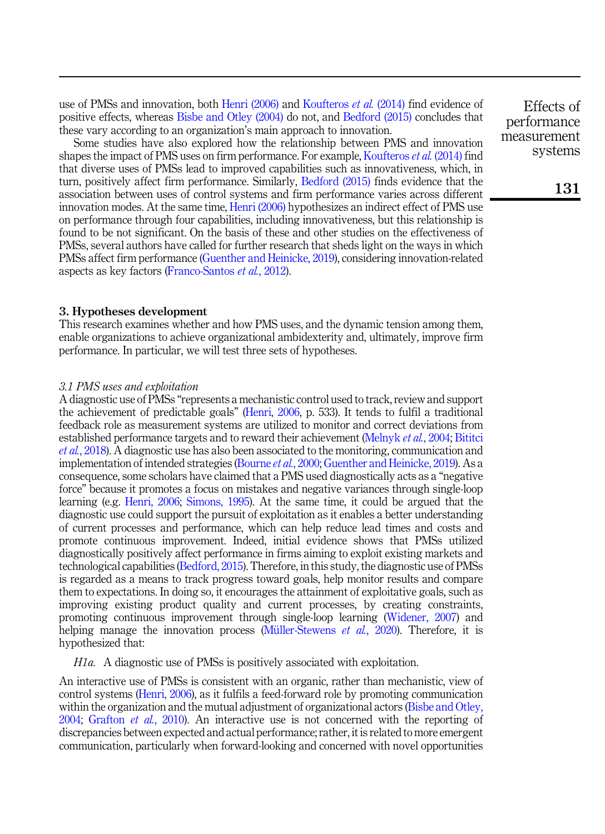use of PMSs and innovation, both [Henri \(2006\)](#page-20-0) and [Koufteros](#page-21-0) et al. (2014) find evidence of positive effects, whereas [Bisbe and Otley \(2004\)](#page-19-4) do not, and [Bedford \(2015\)](#page-19-8) concludes that these vary according to an organization's main approach to innovation.

Some studies have also explored how the relationship between PMS and innovation shapes the impact of PMS uses on firm performance. For example, [Koufteros](#page-21-0) et al. (2014) find that diverse uses of PMSs lead to improved capabilities such as innovativeness, which, in turn, positively affect firm performance. Similarly, [Bedford \(2015\)](#page-19-8) finds evidence that the association between uses of control systems and firm performance varies across different innovation modes. At the same time, [Henri \(2006\)](#page-20-0) hypothesizes an indirect effect of PMS use on performance through four capabilities, including innovativeness, but this relationship is found to be not significant. On the basis of these and other studies on the effectiveness of PMSs, several authors have called for further research that sheds light on the ways in which PMSs affect firm performance [\(Guenther and Heinicke, 2019\)](#page-20-8), considering innovation-related aspects as key factors ([Franco-Santos](#page-20-5) et al., 2012).

## 3. Hypotheses development

This research examines whether and how PMS uses, and the dynamic tension among them, enable organizations to achieve organizational ambidexterity and, ultimately, improve firm performance. In particular, we will test three sets of hypotheses.

#### 3.1 PMS uses and exploitation

A diagnostic use of PMSs "represents a mechanistic control used to track, review and support the achievement of predictable goals" [\(Henri, 2006](#page-20-0), p. 533). It tends to fulfil a traditional feedback role as measurement systems are utilized to monitor and correct deviations from established performance targets and to reward their achievement ([Melnyk](#page-21-2) et al., 2004; [Bititci](#page-19-1) et al.[, 2018\)](#page-19-1). A diagnostic use has also been associated to the monitoring, communication and implementation of intended strategies ([Bourne](#page-19-9) *et al.,* 2000; [Guenther and Heinicke, 2019](#page-20-8)). As a consequence, some scholars have claimed that a PMS used diagnostically acts as a "negative force" because it promotes a focus on mistakes and negative variances through single-loop learning (e.g. [Henri, 2006;](#page-20-0) [Simons, 1995\)](#page-22-1). At the same time, it could be argued that the diagnostic use could support the pursuit of exploitation as it enables a better understanding of current processes and performance, which can help reduce lead times and costs and promote continuous improvement. Indeed, initial evidence shows that PMSs utilized diagnostically positively affect performance in firms aiming to exploit existing markets and technological capabilities ([Bedford, 2015](#page-19-8)). Therefore, in this study, the diagnostic use of PMSs is regarded as a means to track progress toward goals, help monitor results and compare them to expectations. In doing so, it encourages the attainment of exploitative goals, such as improving existing product quality and current processes, by creating constraints, promoting continuous improvement through single-loop learning [\(Widener, 2007](#page-22-6)) and helping manage the innovation process (Müller-Stewens *et al.*, 2020). Therefore, it is hypothesized that:

<span id="page-4-0"></span>H1a. A diagnostic use of PMSs is positively associated with exploitation.

An interactive use of PMSs is consistent with an organic, rather than mechanistic, view of control systems [\(Henri, 2006](#page-20-0)), as it fulfils a feed-forward role by promoting communication within the organization and the mutual adjustment of organizational actors ([Bisbe and Otley,](#page-19-4) [2004;](#page-19-4) [Grafton](#page-20-9) et al., 2010). An interactive use is not concerned with the reporting of discrepancies between expected and actual performance; rather, it is related to more emergent communication, particularly when forward-looking and concerned with novel opportunities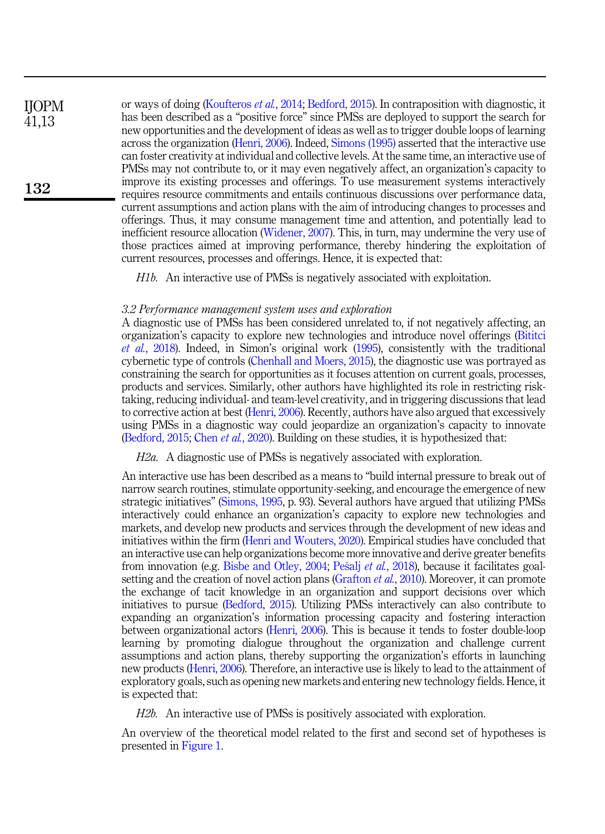or ways of doing ([Koufteros](#page-21-0) et al., 2014; [Bedford, 2015](#page-19-8)). In contraposition with diagnostic, it has been described as a "positive force" since PMSs are deployed to support the search for new opportunities and the development of ideas as well as to trigger double loops of learning across the organization ([Henri, 2006](#page-20-0)). Indeed, [Simons \(1995\)](#page-22-1) asserted that the interactive use can foster creativity at individual and collective levels. At the same time, an interactive use of PMSs may not contribute to, or it may even negatively affect, an organization's capacity to improve its existing processes and offerings. To use measurement systems interactively requires resource commitments and entails continuous discussions over performance data, current assumptions and action plans with the aim of introducing changes to processes and offerings. Thus, it may consume management time and attention, and potentially lead to inefficient resource allocation ([Widener, 2007](#page-22-6)). This, in turn, may undermine the very use of those practices aimed at improving performance, thereby hindering the exploitation of current resources, processes and offerings. Hence, it is expected that: IJOPM 41,13 132

<span id="page-5-0"></span>H1b. An interactive use of PMSs is negatively associated with exploitation.

#### 3.2 Performance management system uses and exploration

A diagnostic use of PMSs has been considered unrelated to, if not negatively affecting, an organization's capacity to explore new technologies and introduce novel offerings [\(Bititci](#page-19-1) et al.[, 2018\)](#page-19-1). Indeed, in Simon's original work [\(1995](#page-22-1)), consistently with the traditional cybernetic type of controls ([Chenhall and Moers, 2015](#page-20-3)), the diagnostic use was portrayed as constraining the search for opportunities as it focuses attention on current goals, processes, products and services. Similarly, other authors have highlighted its role in restricting risktaking, reducing individual- and team-level creativity, and in triggering discussions that lead to corrective action at best [\(Henri, 2006\)](#page-20-0). Recently, authors have also argued that excessively using PMSs in a diagnostic way could jeopardize an organization's capacity to innovate ([Bedford, 2015](#page-19-8); Chen et al.[, 2020\)](#page-19-10). Building on these studies, it is hypothesized that:

<span id="page-5-1"></span>H2a. A diagnostic use of PMSs is negatively associated with exploration.

An interactive use has been described as a means to "build internal pressure to break out of narrow search routines, stimulate opportunity-seeking, and encourage the emergence of new strategic initiatives" ([Simons, 1995,](#page-22-1) p. 93). Several authors have argued that utilizing PMSs interactively could enhance an organization's capacity to explore new technologies and markets, and develop new products and services through the development of new ideas and initiatives within the firm [\(Henri and Wouters, 2020](#page-20-1)). Empirical studies have concluded that an interactive use can help organizations become more innovative and derive greater benefits from innovation (e.g. [Bisbe and Otley, 2004;](#page-19-4) [Pe](#page-21-7)šalj et al.[, 2018](#page-21-7)), because it facilitates goal-setting and the creation of novel action plans [\(Grafton](#page-20-9)  $et al$ , 2010). Moreover, it can promote the exchange of tacit knowledge in an organization and support decisions over which initiatives to pursue ([Bedford, 2015\)](#page-19-8). Utilizing PMSs interactively can also contribute to expanding an organization's information processing capacity and fostering interaction between organizational actors ([Henri, 2006](#page-20-0)). This is because it tends to foster double-loop learning by promoting dialogue throughout the organization and challenge current assumptions and action plans, thereby supporting the organization's efforts in launching new products ([Henri, 2006](#page-20-0)). Therefore, an interactive use is likely to lead to the attainment of exploratory goals, such as opening new markets and entering new technology fields. Hence, it is expected that:

<span id="page-5-2"></span>H2b. An interactive use of PMSs is positively associated with exploration.

An overview of the theoretical model related to the first and second set of hypotheses is presented in [Figure 1](#page-6-0).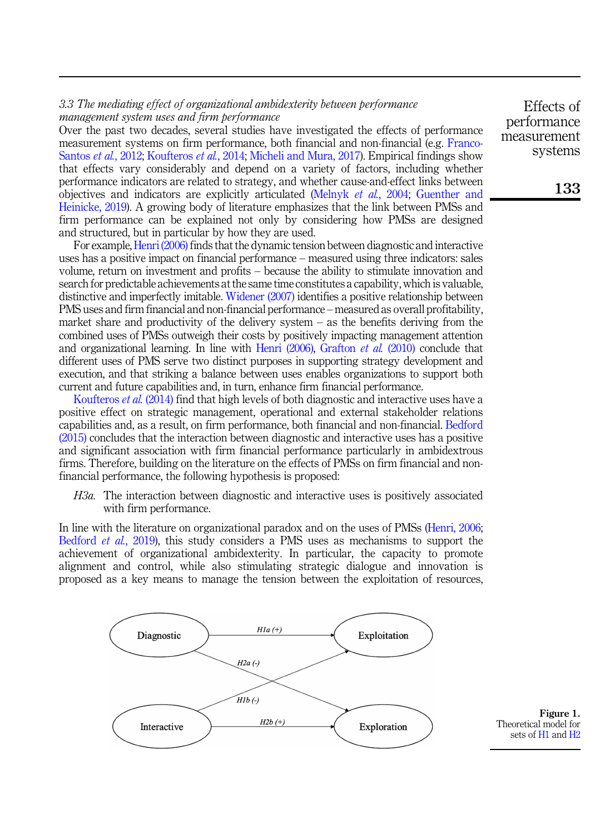# <span id="page-6-0"></span>3.3 The mediating effect of organizational ambidexterity between performance management system uses and firm performance

Over the past two decades, several studies have investigated the effects of performance measurement systems on firm performance, both financial and non-financial (e.g. [Franco-](#page-20-5)[Santos](#page-20-5) et al., 2012; [Koufteros](#page-21-0) et al., 2014; [Micheli and Mura, 2017\)](#page-21-6). Empirical findings show that effects vary considerably and depend on a variety of factors, including whether performance indicators are related to strategy, and whether cause-and-effect links between objectives and indicators are explicitly articulated ([Melnyk](#page-21-2) et al., 2004; [Guenther and](#page-20-8) [Heinicke, 2019](#page-20-8)). A growing body of literature emphasizes that the link between PMSs and firm performance can be explained not only by considering how PMSs are designed and structured, but in particular by how they are used.

For example,[Henri \(2006\)](#page-20-0) finds that the dynamic tension between diagnostic and interactive uses has a positive impact on financial performance – measured using three indicators: sales volume, return on investment and profits – because the ability to stimulate innovation and search for predictable achievements at the same time constitutes a capability, which is valuable, distinctive and imperfectly imitable. [Widener \(2007\)](#page-22-6) identifies a positive relationship between PMS uses and firm financial and non-financial performance – measured as overall profitability, market share and productivity of the delivery system  $-$  as the benefits deriving from the combined uses of PMSs outweigh their costs by positively impacting management attention and organizational learning. In line with Henri  $(2006)$ , [Grafton](#page-20-9) et al.  $(2010)$  conclude that different uses of PMS serve two distinct purposes in supporting strategy development and execution, and that striking a balance between uses enables organizations to support both current and future capabilities and, in turn, enhance firm financial performance.

[Koufteros](#page-21-0) et al. (2014) find that high levels of both diagnostic and interactive uses have a positive effect on strategic management, operational and external stakeholder relations capabilities and, as a result, on firm performance, both financial and non-financial. [Bedford](#page-19-8) [\(2015\)](#page-19-8) concludes that the interaction between diagnostic and interactive uses has a positive and significant association with firm financial performance particularly in ambidextrous firms. Therefore, building on the literature on the effects of PMSs on firm financial and nonfinancial performance, the following hypothesis is proposed:

<span id="page-6-1"></span>H3a. The interaction between diagnostic and interactive uses is positively associated with firm performance.

In line with the literature on organizational paradox and on the uses of PMSs ([Henri, 2006](#page-20-0); [Bedford](#page-19-3) et al., 2019), this study considers a PMS uses as mechanisms to support the achievement of organizational ambidexterity. In particular, the capacity to promote alignment and control, while also stimulating strategic dialogue and innovation is proposed as a key means to manage the tension between the exploitation of resources,



Figure 1. Theoretical model for sets of [H1](#page-4-0) and [H2](#page-5-0)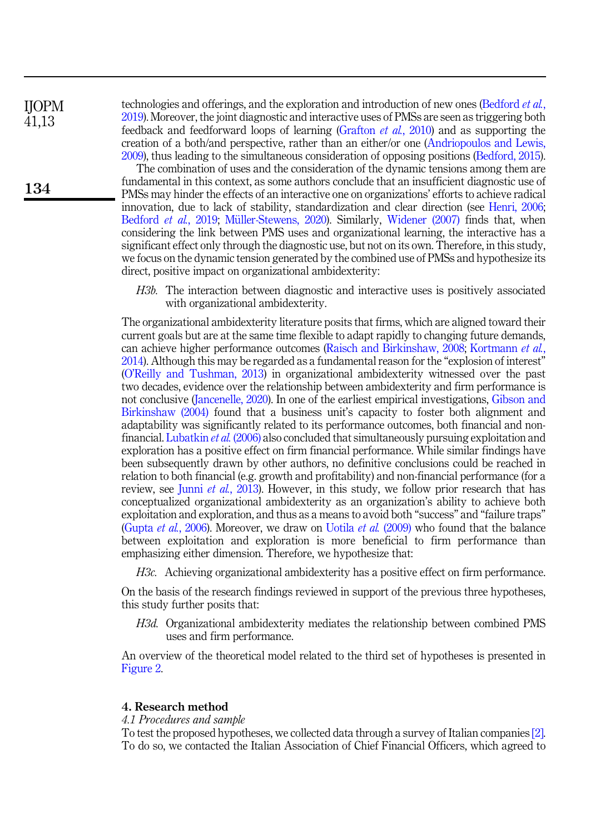IJOPM 41,13

134

technologies and offerings, and the exploration and introduction of new ones [\(Bedford](#page-19-3) et al., [2019\)](#page-19-3). Moreover, the joint diagnostic and interactive uses of PMSs are seen as triggering both feedback and feedforward loops of learning ([Grafton](#page-20-9) et al., 2010) and as supporting the creation of a both/and perspective, rather than an either/or one [\(Andriopoulos and Lewis,](#page-19-7) [2009\)](#page-19-7), thus leading to the simultaneous consideration of opposing positions [\(Bedford, 2015\)](#page-19-8).

The combination of uses and the consideration of the dynamic tensions among them are fundamental in this context, as some authors conclude that an insufficient diagnostic use of PMSs may hinder the effects of an interactive one on organizations' efforts to achieve radical innovation, due to lack of stability, standardization and clear direction (see [Henri, 2006](#page-20-0); [Bedford](#page-19-3) et al., 2019; Müller-Stewens, 2020). Similarly, [Widener \(2007\)](#page-22-6) finds that, when considering the link between PMS uses and organizational learning, the interactive has a significant effect only through the diagnostic use, but not on its own. Therefore, in this study, we focus on the dynamic tension generated by the combined use of PMSs and hypothesize its direct, positive impact on organizational ambidexterity:

<span id="page-7-0"></span>H3b. The interaction between diagnostic and interactive uses is positively associated with organizational ambidexterity.

The organizational ambidexterity literature posits that firms, which are aligned toward their current goals but are at the same time flexible to adapt rapidly to changing future demands, can achieve higher performance outcomes [\(Raisch and Birkinshaw, 2008;](#page-22-0) [Kortmann](#page-21-4) et al., [2014\)](#page-21-4). Although this may be regarded as a fundamental reason for the "explosion of interest" (O'[Reilly and Tushman, 2013](#page-21-10)) in organizational ambidexterity witnessed over the past two decades, evidence over the relationship between ambidexterity and firm performance is not conclusive ([Jancenelle, 2020\)](#page-20-10). In one of the earliest empirical investigations, [Gibson and](#page-20-11) [Birkinshaw \(2004\)](#page-20-11) found that a business unit's capacity to foster both alignment and adaptability was significantly related to its performance outcomes, both financial and nonfinancial. [Lubatkin](#page-21-11) et al. (2006) also concluded that simultaneously pursuing exploitation and exploration has a positive effect on firm financial performance. While similar findings have been subsequently drawn by other authors, no definitive conclusions could be reached in relation to both financial (e.g. growth and profitability) and non-financial performance (for a review, see Junni *et al.*[, 2013\)](#page-20-12). However, in this study, we follow prior research that has conceptualized organizational ambidexterity as an organization's ability to achieve both exploitation and exploration, and thus as a means to avoid both "success" and "failure traps" ([Gupta](#page-20-6) *et al.*, 2006). Moreover, we draw on [Uotila](#page-22-7) *et al.* (2009) who found that the balance between exploitation and exploration is more beneficial to firm performance than emphasizing either dimension. Therefore, we hypothesize that:

<span id="page-7-1"></span>H3c. Achieving organizational ambidexterity has a positive effect on firm performance.

On the basis of the research findings reviewed in support of the previous three hypotheses, this study further posits that:

<span id="page-7-2"></span>H3d. Organizational ambidexterity mediates the relationship between combined PMS uses and firm performance.

An overview of the theoretical model related to the third set of hypotheses is presented in [Figure 2](#page-8-0).

# 4. Research method

#### 4.1 Procedures and sample

To test the proposed hypotheses, we collected data through a survey of Italian companies [\[2\]](#page-19-11). To do so, we contacted the Italian Association of Chief Financial Officers, which agreed to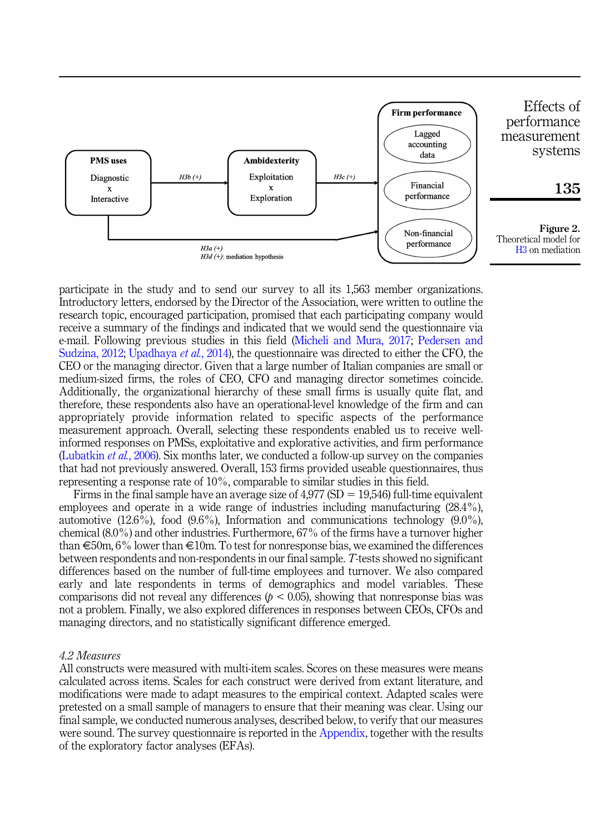<span id="page-8-0"></span>

participate in the study and to send our survey to all its 1,563 member organizations. Introductory letters, endorsed by the Director of the Association, were written to outline the research topic, encouraged participation, promised that each participating company would receive a summary of the findings and indicated that we would send the questionnaire via e-mail. Following previous studies in this field [\(Micheli and Mura, 2017](#page-21-6); [Pedersen and](#page-21-12) [Sudzina, 2012;](#page-21-12) [Upadhaya](#page-22-8) et al., 2014), the questionnaire was directed to either the CFO, the CEO or the managing director. Given that a large number of Italian companies are small or medium-sized firms, the roles of CEO, CFO and managing director sometimes coincide. Additionally, the organizational hierarchy of these small firms is usually quite flat, and therefore, these respondents also have an operational-level knowledge of the firm and can appropriately provide information related to specific aspects of the performance measurement approach. Overall, selecting these respondents enabled us to receive wellinformed responses on PMSs, exploitative and explorative activities, and firm performance ([Lubatkin](#page-21-11) *et al.*, 2006). Six months later, we conducted a follow-up survey on the companies that had not previously answered. Overall, 153 firms provided useable questionnaires, thus representing a response rate of 10%, comparable to similar studies in this field.

Firms in the final sample have an average size of  $4.977$  (SD = 19,546) full-time equivalent employees and operate in a wide range of industries including manufacturing (28.4%), automotive  $(12.6\%)$ , food  $(9.6\%)$ , Information and communications technology  $(9.0\%)$ , chemical (8.0%) and other industries. Furthermore, 67% of the firms have a turnover higher than  $\epsilon$ 50m, 6% lower than  $\epsilon$ 10m. To test for nonresponse bias, we examined the differences between respondents and non-respondents in our final sample. T-tests showed no significant differences based on the number of full-time employees and turnover. We also compared early and late respondents in terms of demographics and model variables. These comparisons did not reveal any differences ( $p < 0.05$ ), showing that nonresponse bias was not a problem. Finally, we also explored differences in responses between CEOs, CFOs and managing directors, and no statistically significant difference emerged.

#### 4.2 Measures

All constructs were measured with multi-item scales. Scores on these measures were means calculated across items. Scales for each construct were derived from extant literature, and modifications were made to adapt measures to the empirical context. Adapted scales were pretested on a small sample of managers to ensure that their meaning was clear. Using our final sample, we conducted numerous analyses, described below, to verify that our measures were sound. The survey questionnaire is reported in the [Appendix,](#page-23-0) together with the results of the exploratory factor analyses (EFAs).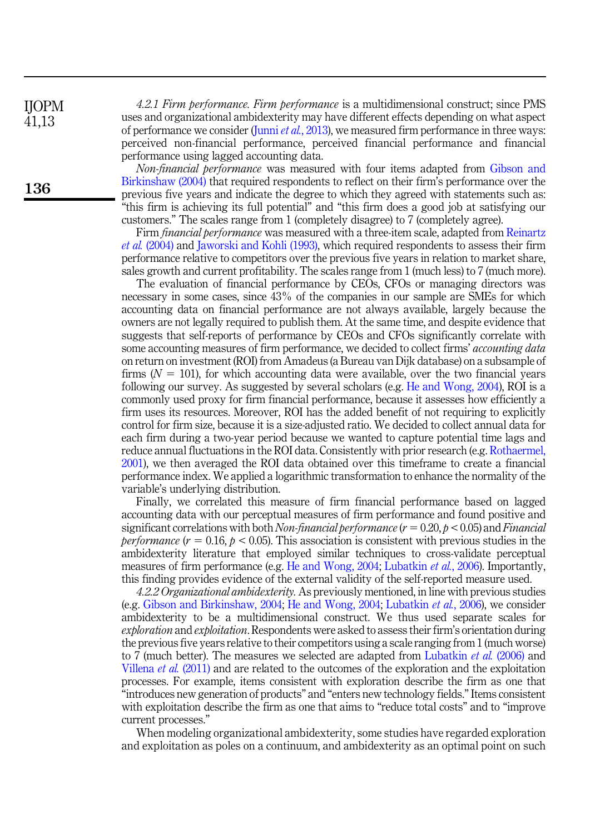4.2.1 Firm performance. Firm performance is a multidimensional construct; since PMS uses and organizational ambidexterity may have different effects depending on what aspect of performance we consider (Junni *et al.*[, 2013](#page-20-12)), we measured firm performance in three ways: perceived non-financial performance, perceived financial performance and financial performance using lagged accounting data.

Non-financial performance was measured with four items adapted from [Gibson and](#page-20-11) [Birkinshaw \(2004\)](#page-20-11) that required respondents to reflect on their firm's performance over the previous five years and indicate the degree to which they agreed with statements such as: "this firm is achieving its full potential" and "this firm does a good job at satisfying our customers." The scales range from 1 (completely disagree) to 7 (completely agree).

Firm *financial performance* was measured with a three-item scale, adapted from [Reinartz](#page-22-9) et al. [\(2004\)](#page-22-9) and [Jaworski and Kohli \(1993\)](#page-20-13), which required respondents to assess their firm performance relative to competitors over the previous five years in relation to market share, sales growth and current profitability. The scales range from 1 (much less) to 7 (much more).

The evaluation of financial performance by CEOs, CFOs or managing directors was necessary in some cases, since 43% of the companies in our sample are SMEs for which accounting data on financial performance are not always available, largely because the owners are not legally required to publish them. At the same time, and despite evidence that suggests that self-reports of performance by CEOs and CFOs significantly correlate with some accounting measures of firm performance, we decided to collect firms' accounting data on return on investment (ROI) from Amadeus (a Bureau van Dijk database) on a subsample of firms  $(N = 101)$ , for which accounting data were available, over the two financial years following our survey. As suggested by several scholars (e.g. [He and Wong, 2004](#page-20-14)), ROI is a commonly used proxy for firm financial performance, because it assesses how efficiently a firm uses its resources. Moreover, ROI has the added benefit of not requiring to explicitly control for firm size, because it is a size-adjusted ratio. We decided to collect annual data for each firm during a two-year period because we wanted to capture potential time lags and reduce annual fluctuations in the ROI data. Consistently with prior research (e.g. [Rothaermel,](#page-22-10) [2001\)](#page-22-10), we then averaged the ROI data obtained over this timeframe to create a financial performance index. We applied a logarithmic transformation to enhance the normality of the variable's underlying distribution.

Finally, we correlated this measure of firm financial performance based on lagged accounting data with our perceptual measures of firm performance and found positive and significant correlations with both Non-financial performance  $(r = 0.20, p < 0.05)$  and Financial *performance*  $(r = 0.16, p < 0.05)$ . This association is consistent with previous studies in the ambidexterity literature that employed similar techniques to cross-validate perceptual measures of firm performance (e.g. [He and Wong, 2004](#page-20-14); [Lubatkin](#page-21-11) et al., 2006). Importantly, this finding provides evidence of the external validity of the self-reported measure used.

4.2.2 Organizational ambidexterity. As previously mentioned, in line with previous studies (e.g. [Gibson and Birkinshaw, 2004](#page-20-11); [He and Wong, 2004](#page-20-14); [Lubatkin](#page-21-11) et al., 2006), we consider ambidexterity to be a multidimensional construct. We thus used separate scales for exploration and exploitation. Respondents were asked to assess their firm's orientation during the previous five years relative to their competitors using a scale ranging from 1 (much worse) to 7 (much better). The measures we selected are adapted from [Lubatkin](#page-21-11) *et al.* (2006) and [Villena](#page-22-11) et al. (2011) and are related to the outcomes of the exploration and the exploitation processes. For example, items consistent with exploration describe the firm as one that "introduces new generation of products" and "enters new technology fields."Items consistent with exploitation describe the firm as one that aims to "reduce total costs" and to "improve current processes."

When modeling organizational ambidexterity, some studies have regarded exploration and exploitation as poles on a continuum, and ambidexterity as an optimal point on such

IJOPM 41,13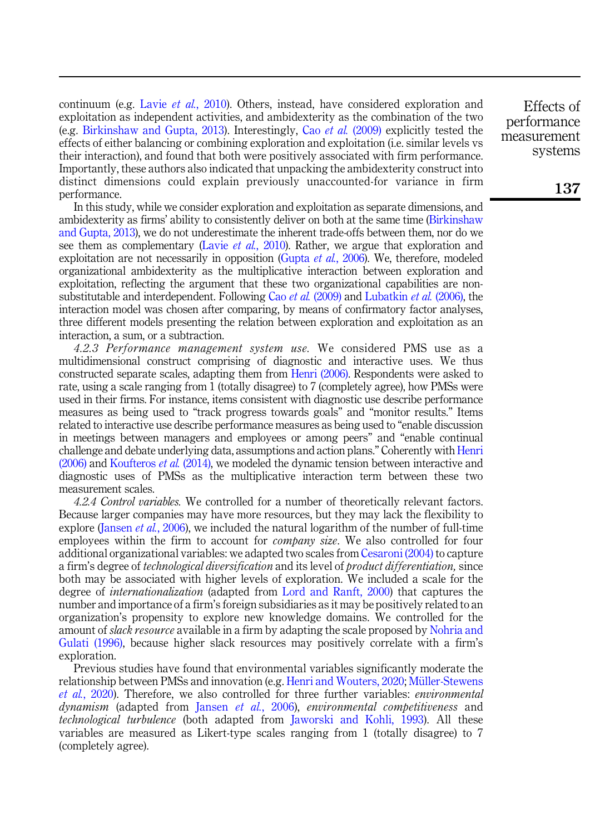continuum (e.g. Lavie *et al.*[, 2010\)](#page-21-8). Others, instead, have considered exploration and exploitation as independent activities, and ambidexterity as the combination of the two (e.g. [Birkinshaw and Gupta, 2013\)](#page-19-2). Interestingly, Cao et al. [\(2009\)](#page-19-12) explicitly tested the effects of either balancing or combining exploration and exploitation (i.e. similar levels vs their interaction), and found that both were positively associated with firm performance. Importantly, these authors also indicated that unpacking the ambidexterity construct into distinct dimensions could explain previously unaccounted-for variance in firm performance.

In this study, while we consider exploration and exploitation as separate dimensions, and ambidexterity as firms' ability to consistently deliver on both at the same time ([Birkinshaw](#page-19-2) [and Gupta, 2013](#page-19-2)), we do not underestimate the inherent trade-offs between them, nor do we see them as complementary (Lavie et al.[, 2010\)](#page-21-8). Rather, we argue that exploration and exploitation are not necessarily in opposition [\(Gupta](#page-20-6) *et al.*, 2006). We, therefore, modeled organizational ambidexterity as the multiplicative interaction between exploration and exploitation, reflecting the argument that these two organizational capabilities are nonsubstitutable and interdependent. Following Cao *et al.* [\(2009\)](#page-19-12) and [Lubatkin](#page-21-11) *et al.* (2006), the interaction model was chosen after comparing, by means of confirmatory factor analyses, three different models presenting the relation between exploration and exploitation as an interaction, a sum, or a subtraction.

4.2.3 Performance management system use. We considered PMS use as a multidimensional construct comprising of diagnostic and interactive uses. We thus constructed separate scales, adapting them from [Henri \(2006\)](#page-20-0). Respondents were asked to rate, using a scale ranging from 1 (totally disagree) to 7 (completely agree), how PMSs were used in their firms. For instance, items consistent with diagnostic use describe performance measures as being used to "track progress towards goals" and "monitor results." Items related to interactive use describe performance measures as being used to "enable discussion in meetings between managers and employees or among peers" and "enable continual challenge and debate underlying data, assumptions and action plans." Coherently with [Henri](#page-20-0) [\(2006\)](#page-20-0) and [Koufteros](#page-21-0) et al. (2014), we modeled the dynamic tension between interactive and diagnostic uses of PMSs as the multiplicative interaction term between these two measurement scales.

4.2.4 Control variables. We controlled for a number of theoretically relevant factors. Because larger companies may have more resources, but they may lack the flexibility to explore ([Jansen](#page-20-4) *et al.*, 2006), we included the natural logarithm of the number of full-time employees within the firm to account for *company size*. We also controlled for four additional organizational variables: we adapted two scales from [Cesaroni \(2004\)](#page-19-13) to capture a firm's degree of technological diversification and its level of product differentiation, since both may be associated with higher levels of exploration. We included a scale for the degree of internationalization (adapted from [Lord and Ranft, 2000\)](#page-21-13) that captures the number and importance of a firm's foreign subsidiaries as it may be positively related to an organization's propensity to explore new knowledge domains. We controlled for the amount of *slack resource* available in a firm by adapting the scale proposed by [Nohria and](#page-21-14) [Gulati \(1996\)](#page-21-14), because higher slack resources may positively correlate with a firm's exploration.

Previous studies have found that environmental variables significantly moderate the relationship between PMSs and innovation (e.g. [Henri and Wouters, 2020;](#page-20-1) Müller-Stewens et al.[, 2020\)](#page-21-1). Therefore, we also controlled for three further variables: environmental dynamism (adapted from Jansen et al.[, 2006](#page-20-4)), environmental competitiveness and technological turbulence (both adapted from [Jaworski and Kohli, 1993\)](#page-20-13). All these variables are measured as Likert-type scales ranging from 1 (totally disagree) to 7 (completely agree).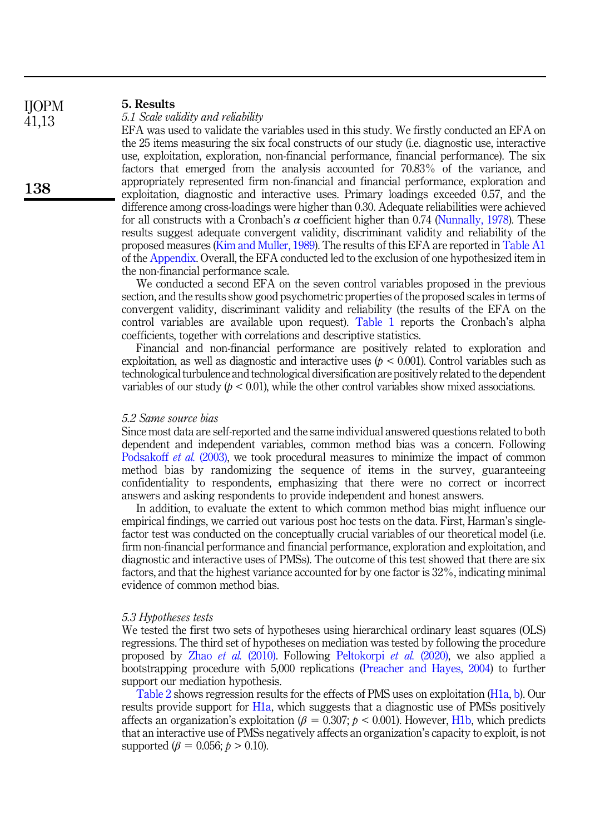| TIOT TAT |                                                                                                    |
|----------|----------------------------------------------------------------------------------------------------|
| 41,13    | 5.1 Scale validity and reliability                                                                 |
|          | EFA was used to validate the variables used in this study. We firstly conducted an EFA on          |
|          | the 25 items measuring the six focal constructs of our study (i.e. diagnostic use, interactive     |
|          | use, exploitation, exploration, non-financial performance, financial performance). The six         |
|          | factors that emerged from the analysis accounted for 70.83% of the variance, and                   |
|          | appropriately represented firm non-financial and financial performance, exploration and            |
| 138      | exploitation, diagnostic and interactive uses. Primary loadings exceeded 0.57, and the             |
|          | difference among cross-loadings were higher than 0.30. Adequate reliabilities were achieved        |
|          | for all constructs with a Cronbach's $\alpha$ coefficient higher than 0.74 (Nunnally, 1978). These |
|          | results suggest adequate convergent validity, discriminant validity and reliability of the         |
|          | proposed measures (Kim and Muller, 1989). The results of this EFA are reported in Table A1         |
|          | of the Appendix. Overall, the EFA conducted led to the exclusion of one hypothesized item in       |
|          | the non-financial performance scale.                                                               |

We conducted a second EFA on the seven control variables proposed in the previous section, and the results show good psychometric properties of the proposed scales in terms of convergent validity, discriminant validity and reliability (the results of the EFA on the control variables are available upon request). [Table 1](#page-12-0) reports the Cronbach's alpha coefficients, together with correlations and descriptive statistics.

Financial and non-financial performance are positively related to exploration and exploitation, as well as diagnostic and interactive uses ( $p < 0.001$ ). Control variables such as technological turbulence and technological diversification are positively related to the dependent variables of our study  $(p < 0.01)$ , while the other control variables show mixed associations.

#### <span id="page-11-0"></span>5.2 Same source bias

5. Results

 $I$  $I$  $O$  $D$  $M$ 

Since most data are self-reported and the same individual answered questions related to both dependent and independent variables, common method bias was a concern. Following [Podsakoff](#page-22-12) *et al.* (2003), we took procedural measures to minimize the impact of common method bias by randomizing the sequence of items in the survey, guaranteeing confidentiality to respondents, emphasizing that there were no correct or incorrect answers and asking respondents to provide independent and honest answers.

In addition, to evaluate the extent to which common method bias might influence our empirical findings, we carried out various post hoc tests on the data. First, Harman's singlefactor test was conducted on the conceptually crucial variables of our theoretical model (i.e. firm non-financial performance and financial performance, exploration and exploitation, and diagnostic and interactive uses of PMSs). The outcome of this test showed that there are six factors, and that the highest variance accounted for by one factor is 32%, indicating minimal evidence of common method bias.

#### 5.3 Hypotheses tests

We tested the first two sets of hypotheses using hierarchical ordinary least squares (OLS) regressions. The third set of hypotheses on mediation was tested by following the procedure proposed by Zhao et al. [\(2010\).](#page-22-13) Following [Peltokorpi](#page-21-17) et al. (2020), we also applied a bootstrapping procedure with 5,000 replications ([Preacher and Hayes, 2004\)](#page-22-14) to further support our mediation hypothesis.

[Table 2](#page-13-0) shows regression results for the effects of PMS uses on exploitation ([H1a](#page-4-0), [b](#page-5-0)). Our results provide support for [H1a](#page-4-0), which suggests that a diagnostic use of PMSs positively affects an organization's exploitation ( $\beta = 0.307$ ;  $p < 0.001$ ). However, [H1b](#page-5-0), which predicts that an interactive use of PMSs negatively affects an organization's capacity to exploit, is not supported ( $\beta = 0.056$ ;  $p > 0.10$ ).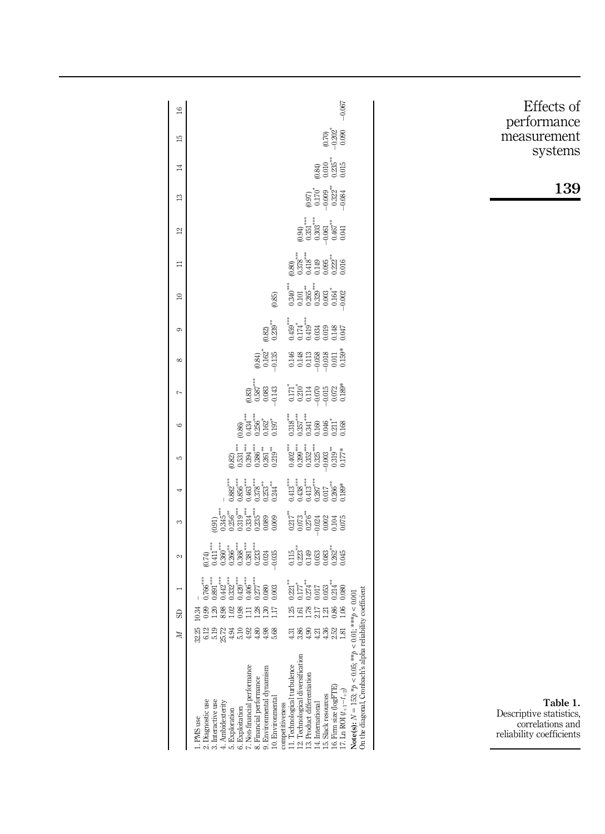<span id="page-12-0"></span>

| $\cong$         |                                                                                                                                                                                                                                                                                                                                                                                                                            | $-0.067$                                                                                                                                                                                                                                                                                                                                                                          | Effects of                                                                          |
|-----------------|----------------------------------------------------------------------------------------------------------------------------------------------------------------------------------------------------------------------------------------------------------------------------------------------------------------------------------------------------------------------------------------------------------------------------|-----------------------------------------------------------------------------------------------------------------------------------------------------------------------------------------------------------------------------------------------------------------------------------------------------------------------------------------------------------------------------------|-------------------------------------------------------------------------------------|
| $\overline{15}$ |                                                                                                                                                                                                                                                                                                                                                                                                                            | $0.70$<br>$-0.202$<br>$0.090$                                                                                                                                                                                                                                                                                                                                                     | performance<br>ement<br>meas                                                        |
| $\mathbb{I}^4$  |                                                                                                                                                                                                                                                                                                                                                                                                                            | $\begin{array}{l} 0.84 \\ 0.010 \\ 0.235 \\ 0.015 \\ 0.015 \end{array}$                                                                                                                                                                                                                                                                                                           | systems                                                                             |
| $\overline{13}$ |                                                                                                                                                                                                                                                                                                                                                                                                                            | $0.97$<br>$0.70$<br>$0.99$<br>$0.322$<br>$0.084$                                                                                                                                                                                                                                                                                                                                  | 139                                                                                 |
| $^{12}$         |                                                                                                                                                                                                                                                                                                                                                                                                                            | $\begin{array}{l} (0.94)\\ 0.351\\ 0.303\\ 0.303\\ 0.467\\ 0.441\\ \end{array}$                                                                                                                                                                                                                                                                                                   |                                                                                     |
| $\equiv$        |                                                                                                                                                                                                                                                                                                                                                                                                                            | $\begin{smallmatrix} 0.80 \\ 0.378 \\ 0.418 \\ 0.095 \\ 0.095 \\ 0.0149 \\ 0.016 \\ 0.016 \end{smallmatrix}$                                                                                                                                                                                                                                                                      |                                                                                     |
| $\approx$       | $(0.85)$                                                                                                                                                                                                                                                                                                                                                                                                                   | $\begin{array}{c} 340^{**} \\ 0.301 \\ 0.001 \\ 0.329^{**} \\ 0.032 \\ 0.003 \\ 0.002 \\ 0.002 \\ \end{array}$                                                                                                                                                                                                                                                                    |                                                                                     |
| 6               | $\overset{(0.82)}{0.239}$ **                                                                                                                                                                                                                                                                                                                                                                                               | $\begin{array}{l} \mathbf{12.59} \\ \mathbf{13.74} \\ \mathbf{14.9} \\ \mathbf{15.17} \\ \mathbf{16.13} \\ \mathbf{17.17} \\ \mathbf{18.19} \\ \mathbf{19.19} \\ \mathbf{10.10} \\ \mathbf{10.10} \\ \mathbf{10.11} \\ \mathbf{10.11} \\ \mathbf{10.11} \\ \mathbf{11.10} \\ \mathbf{11.11} \\ \mathbf{12.11} \\ \mathbf{13.11} \\ \mathbf{14.11} \\ \mathbf{15.11} \\ \mathbf{1$ |                                                                                     |
| ${}^{\circ}$    | $\begin{array}{c} (0.84) \\ 0.162^* \\ -0.135 \end{array}$                                                                                                                                                                                                                                                                                                                                                                 | $\begin{array}{r} 146 \\ 148 \\ 131 \\ 150 \\ 160 \\ 170 \\ 180 \\ 190 \\ 101 \\ 100 \\ 101 \\ 100 \\ 101 \\ 100 \\ 101 \\ 100 \\ 101 \\ 100 \\ 101 \\ 100 \\ 101 \\ 100 \\ 101 \\ 100 \\ 101 \\ 100 \\ 101 \\ 101 \\ 101 \\ 101 \\ 101 \\ 101 \\ 101 \\ 101 \\ 101 \\ 101 \\ 101 \\ 101 \\ 101 \\ 101 \\ 101 \\ 101 \\ 10$                                                       |                                                                                     |
| $\overline{ }$  | $\begin{array}{c} 0.83 \\ 0.587 \\ 0.083 \\ 0.083 \\ -0.143 \end{array}$                                                                                                                                                                                                                                                                                                                                                   | $\begin{array}{l} \n 17.8888 \\ \n 17.81488 \\ \n 18.8398 \\ \n 19.8398 \\ \n 19.839 \\ \n 19.839 \\ \n 19.839 \\ \n 19.839 \\ \n 19.839 \\ \n 19.839 \\ \n 19.839 \\ \n 19.839 \\ \n 19.839 \\ \n 19.839 \\ \n 19.839 \\ \n 19.839 \\ \n 19.839 \\ \n 19.839 \\ \n 19.839 \\ \n 19.839 \\ \n 19.83$                                                                              |                                                                                     |
| G               | $\begin{array}{l} 0.86 \\[-4pt] 0.434 \\[-4pt] 0.256 \\[-4pt] 0.197 \\[-4pt] 0.197 \end{array}$                                                                                                                                                                                                                                                                                                                            |                                                                                                                                                                                                                                                                                                                                                                                   |                                                                                     |
| LO.             | $\begin{array}{c} \begin{array}{c} \vdots \\ \Omega \\ \Omega \\ \Omega \\ \Omega \\ \Omega \\ \end{array} \\ \begin{array}{c} \vdots \\ \Omega \\ \Omega \\ \Omega \\ \end{array} \\ \begin{array}{c} \vdots \\ \Omega \\ \Omega \\ \Omega \\ \end{array} \\ \begin{array}{c} \vdots \\ \Omega \\ \Omega \\ \Omega \\ \end{array} \\ \begin{array}{c} \vdots \\ \Omega \\ \Omega \\ \Omega \\ \end{array} \\ \end{array}$ | $\begin{array}{l} 0.402 \\ 0.399 \\ 0.393 \\ 0.312 \\ 0.312 \\ 0.323 \\ 0.01 \\ 0.17 \\ \end{array}$                                                                                                                                                                                                                                                                              |                                                                                     |
| 4               |                                                                                                                                                                                                                                                                                                                                                                                                                            | $\begin{array}{l} 0.413^{***} \\ 0.438^{***} \\ 0.643^{***} \\ 0.087^{***} \\ 0.017 \\ 0.0037 \\ 0.036^{**} \\ 0.189^{*} \\ \end{array}$                                                                                                                                                                                                                                          |                                                                                     |
| S               | (0.91)                                                                                                                                                                                                                                                                                                                                                                                                                     | $217**$<br>$0.378**$<br>$0.378**$<br>$0.378**$<br>$0.308**$<br>$0.308**$<br>$0.308**$                                                                                                                                                                                                                                                                                             |                                                                                     |
| 2               | $\begin{array}{c} (0.74) \\ (0.411^{***} \\ 0.366^{**} \\ 0.366^{**} \\ 0.368^{***} \\ 0.381^{***} \\ 0.024 \\ 0.036 \\ 0.033 \\ \end{array}$                                                                                                                                                                                                                                                                              |                                                                                                                                                                                                                                                                                                                                                                                   |                                                                                     |
|                 | $\begin{array}{l} \texttt{391} \overset{\texttt{#}}{\texttt{301}} \overset{\texttt{#}}{\texttt{312}} \overset{\texttt{#}}{\texttt{321}} \overset{\texttt{#}}{\texttt{332}} \overset{\texttt{#}}{\texttt{342}} \overset{\texttt{#}}{\texttt{353}} \overset{\texttt{#}}{\texttt{363}} \end{array}$<br>$0.766$ <sup>***</sup>                                                                                                 | $\begin{array}{l} \begin{array}{l} 221 \\ 231 \\ 217 \\ 231 \\ 241 \\ 251 \\ 260 \\ 274 \\ 281 \\ 291 \\ 201 \\ 214 \\ 221 \\ 231 \\ 241 \\ 252 \\ 262 \\ 271 \\ 283 \\ 291 \\ 201 \\ 248 \\ 232 \\ 249 \\ 249 \\ 250 \\ 251 \\ 250 \\ 271 \\ 282 \\ 292 \\ 293 \\ 294 \\ 294 \\ 295 \\ 296 \\ 296 \\ 299 \\ 299 \\ 299 \\ 299 \\ $<br>0.080                                      |                                                                                     |
| G               | $\frac{338}{202}$<br>$1.02$<br>0.98<br>$\frac{1188}{128}$<br>EТ                                                                                                                                                                                                                                                                                                                                                            | 5525588                                                                                                                                                                                                                                                                                                                                                                           |                                                                                     |
| Z               |                                                                                                                                                                                                                                                                                                                                                                                                                            | 표 % 9 년 4 % 3 년                                                                                                                                                                                                                                                                                                                                                                   |                                                                                     |
|                 | 7. Non-financial performance<br>9. Environmental dynamism<br>8. Financial performance<br>10. Environmental<br>3. Interactive use<br>2. Diagnostic use<br>4. Ambidexterity<br>6. Exploitation<br>5. Exploration<br>1. PMS use                                                                                                                                                                                               | On the diagonal, Cronbach's alpha reliability coefficient<br>Note(s): $N = 153$ ; * $p < 0.05$ ; ** $p > 0.01$ ; *** $p < 0.001$<br>12. Technological diversification<br>11. Technological turbulence<br>13. Product differentiation<br>16. Firm size (logFTE)<br>17. L<br>n ROI $(t_{+1}\!-\!t_{+2}\!)$<br>15. Slack resources<br>14. International<br>                          | Table 1.<br>Descriptive statistics,<br>correlations and<br>reliability coefficients |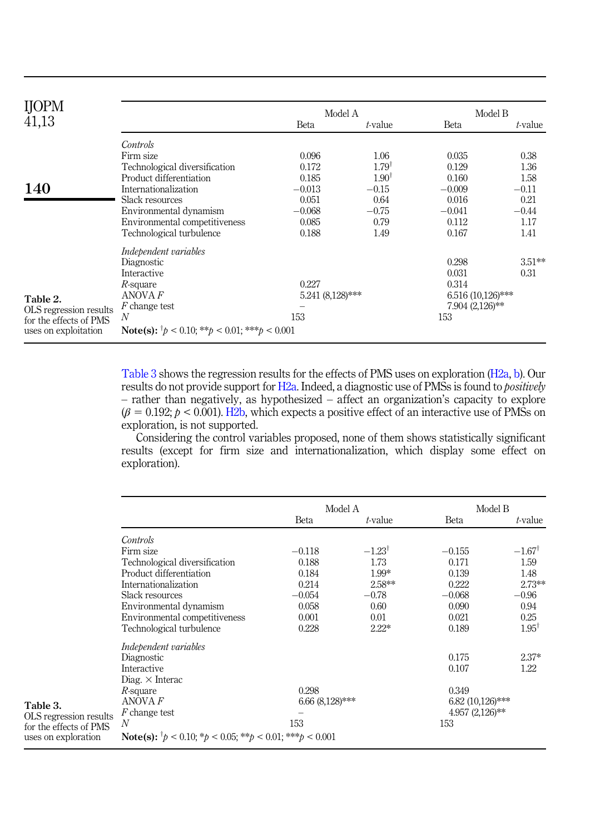<span id="page-13-0"></span>

| <b>IJOPM</b>           |                                                                        | Model A          |                  | Model B             |           |
|------------------------|------------------------------------------------------------------------|------------------|------------------|---------------------|-----------|
| 41,13                  |                                                                        | <b>Beta</b>      | t-value          | <b>Beta</b>         | t-value   |
|                        | Controls                                                               |                  |                  |                     |           |
|                        | Firm size                                                              | 0.096            | 1.06             | 0.035               | 0.38      |
|                        | Technological diversification                                          | 0.172            | $1.79^{\dagger}$ | 0.129               | 1.36      |
|                        | Product differentiation                                                | 0.185            | $1.90^{\dagger}$ | 0.160               | 1.58      |
| 140                    | Internationalization                                                   | $-0.013$         | $-0.15$          | $-0.009$            | $-0.11$   |
|                        | Slack resources                                                        | 0.051            | 0.64             | 0.016               | 0.21      |
|                        | Environmental dynamism                                                 | $-0.068$         | $-0.75$          | $-0.041$            | $-0.44$   |
|                        | Environmental competitiveness                                          | 0.085            | 0.79             | 0.112               | 1.17      |
|                        | Technological turbulence                                               | 0.188            | 1.49             | 0.167               | 1.41      |
|                        | Independent variables                                                  |                  |                  |                     |           |
|                        | Diagnostic                                                             |                  |                  | 0.298               | $3.51***$ |
|                        | Interactive                                                            |                  |                  | 0.031               | 0.31      |
|                        | 0.227<br>$R$ -square                                                   |                  |                  | 0.314               |           |
| Table 2.               | ANOVA F                                                                | 5.241 (8,128)*** |                  | $6.516(10,126)$ *** |           |
| OLS regression results | F change test                                                          |                  |                  | 7.904 (2,126)**     |           |
| for the effects of PMS | N                                                                      | 153              |                  | 153                 |           |
| uses on exploitation   | <b>Note(s):</b> $^{\dagger}p < 0.10$ ; ** $p < 0.01$ ; *** $p < 0.001$ |                  |                  |                     |           |

Table 3 shows the regression results for the effects of PMS uses on exploration ([H2a](#page-5-1), [b](#page-5-2)). Our results do not provide support for [H2a.](#page-5-1) Indeed, a diagnostic use of PMSs is found to *positively* – rather than negatively, as hypothesized – affect an organization's capacity to explore  $(\beta = 0.192; p < 0.001)$ . [H2b](#page-5-2), which expects a positive effect of an interactive use of PMSs on exploration, is not supported.

Considering the control variables proposed, none of them shows statistically significant results (except for firm size and internationalization, which display some effect on exploration).

|                        |                                                                                                               |                   | Model A              | Model B            |                   |
|------------------------|---------------------------------------------------------------------------------------------------------------|-------------------|----------------------|--------------------|-------------------|
|                        |                                                                                                               | Beta              | t-value              | Beta               | t-value           |
|                        | Controls                                                                                                      |                   |                      |                    |                   |
|                        | Firm size                                                                                                     | $-0.118$          | $-1.23$ <sup>†</sup> | $-0.155$           | $-1.67^{\dagger}$ |
|                        | Technological diversification                                                                                 | 0.188             | 1.73                 | 0.171              | 1.59              |
|                        | Product differentiation                                                                                       | 0.184             | $1.99*$              | 0.139              | 1.48              |
|                        | Internationalization                                                                                          | 0.214             | 2.58**               | 0.222              | $2.73***$         |
|                        | Slack resources                                                                                               | $-0.054$          | $-0.78$              | $-0.068$           | $-0.96$           |
|                        | Environmental dynamism                                                                                        | 0.058             | 0.60                 | 0.090              | 0.94              |
|                        | Environmental competitiveness                                                                                 | 0.001             | 0.01                 | 0.021              | 0.25              |
|                        | Technological turbulence                                                                                      | 0.228             | $2.22*$              | 0.189              | $1.95^{\dagger}$  |
|                        | Independent variables                                                                                         |                   |                      |                    |                   |
|                        | Diagnostic                                                                                                    |                   |                      | 0.175              | $2.37*$           |
|                        | Interactive                                                                                                   |                   |                      | 0.107              | 1.22              |
|                        | Diag. $\times$ Interac                                                                                        |                   |                      |                    |                   |
|                        | $R$ -square                                                                                                   | 0.298             |                      | 0.349              |                   |
| Table 3.               | ANOVA F                                                                                                       | $6.66(8.128)$ *** |                      | $6.82(10,126)$ *** |                   |
| OLS regression results | F change test                                                                                                 |                   |                      | $4.957(2,126)$ **  |                   |
| for the effects of PMS | N                                                                                                             | 153               |                      | 153                |                   |
| uses on exploration    | <b>Note(s):</b> $^{\dagger}p < 0.10$ ; $^{\ast}p < 0.05$ ; $^{\ast\ast}p < 0.01$ ; $^{\ast\ast\ast}p < 0.001$ |                   |                      |                    |                   |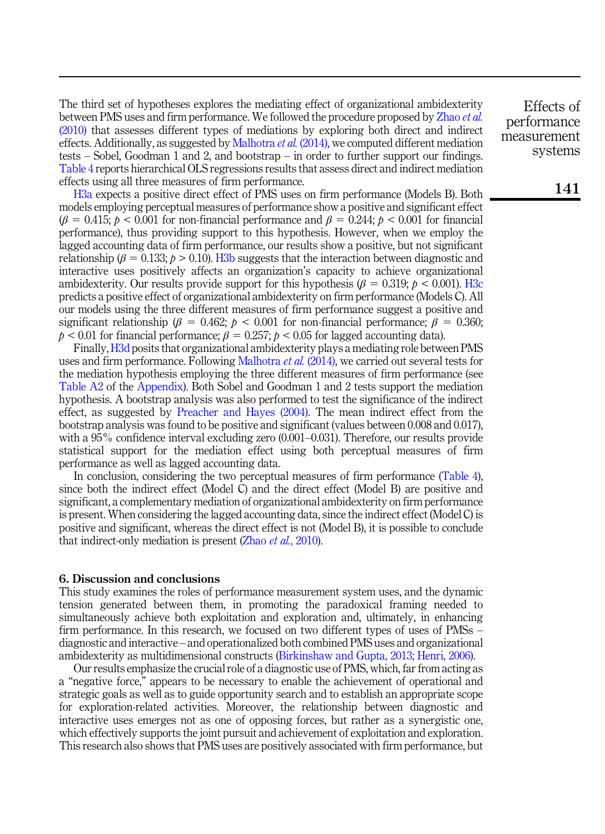The third set of hypotheses explores the mediating effect of organizational ambidexterity between PMS uses and firm performance. We followed the procedure proposed by [Zhao](#page-22-13) et al. [\(2010\)](#page-22-13) that assesses different types of mediations by exploring both direct and indirect effects. Additionally, as suggested by [Malhotra](#page-21-18) et al. (2014), we computed different mediation tests – Sobel, Goodman 1 and 2, and bootstrap – in order to further support our findings. [Table 4](#page-15-0) reports hierarchical OLS regressions results that assess direct and indirect mediation effects using all three measures of firm performance.

[H3a](#page-6-1) expects a positive direct effect of PMS uses on firm performance (Models B). Both models employing perceptual measures of performance show a positive and significant effect  $(\beta = 0.415; p < 0.001$  for non-financial performance and  $\beta = 0.244; p < 0.001$  for financial performance), thus providing support to this hypothesis. However, when we employ the lagged accounting data of firm performance, our results show a positive, but not significant relationship ( $\beta = 0.133$ ;  $\beta > 0.10$ ). H<sub>3</sub>b suggests that the interaction between diagnostic and interactive uses positively affects an organization's capacity to achieve organizational ambidexterity. Our results provide support for this hypothesis ( $\beta = 0.319$ ;  $p < 0.001$ ). [H3c](#page-7-1) predicts a positive effect of organizational ambidexterity on firm performance (Models C). All our models using the three different measures of firm performance suggest a positive and significant relationship ( $\beta = 0.462$ ;  $\beta < 0.001$  for non-financial performance;  $\beta = 0.360$ ;  $p < 0.01$  for financial performance;  $\beta = 0.257$ ;  $p < 0.05$  for lagged accounting data).

Finally,[H3d](#page-7-2) posits that organizational ambidexterity plays a mediating role between PMS uses and firm performance. Following [Malhotra](#page-21-18) *et al.* (2014), we carried out several tests for the mediation hypothesis employing the three different measures of firm performance (see [Table A2](#page-24-0) of the [Appendix](#page-23-0)). Both Sobel and Goodman 1 and 2 tests support the mediation hypothesis. A bootstrap analysis was also performed to test the significance of the indirect effect, as suggested by [Preacher and Hayes \(2004\)](#page-22-14). The mean indirect effect from the bootstrap analysis was found to be positive and significant (values between 0.008 and 0.017), with a 95% confidence interval excluding zero (0.001–0.031). Therefore, our results provide statistical support for the mediation effect using both perceptual measures of firm performance as well as lagged accounting data.

In conclusion, considering the two perceptual measures of firm performance [\(Table 4\)](#page-15-0), since both the indirect effect (Model C) and the direct effect (Model B) are positive and significant, a complementary mediation of organizational ambidexterity on firm performance is present. When considering the lagged accounting data, since the indirect effect (Model C) is positive and significant, whereas the direct effect is not (Model B), it is possible to conclude that indirect-only mediation is present (Zhao *et al.*[, 2010](#page-22-13)).

## 6. Discussion and conclusions

This study examines the roles of performance measurement system uses, and the dynamic tension generated between them, in promoting the paradoxical framing needed to simultaneously achieve both exploitation and exploration and, ultimately, in enhancing firm performance. In this research, we focused on two different types of uses of PMSs – diagnostic and interactive – and operationalized both combined PMS uses and organizational ambidexterity as multidimensional constructs [\(Birkinshaw and Gupta, 2013](#page-19-2); [Henri, 2006\)](#page-20-0).

Our results emphasize the crucial role of a diagnostic use of PMS, which, far from acting as a "negative force," appears to be necessary to enable the achievement of operational and strategic goals as well as to guide opportunity search and to establish an appropriate scope for exploration-related activities. Moreover, the relationship between diagnostic and interactive uses emerges not as one of opposing forces, but rather as a synergistic one, which effectively supports the joint pursuit and achievement of exploitation and exploration. This research also shows that PMS uses are positively associated with firm performance, but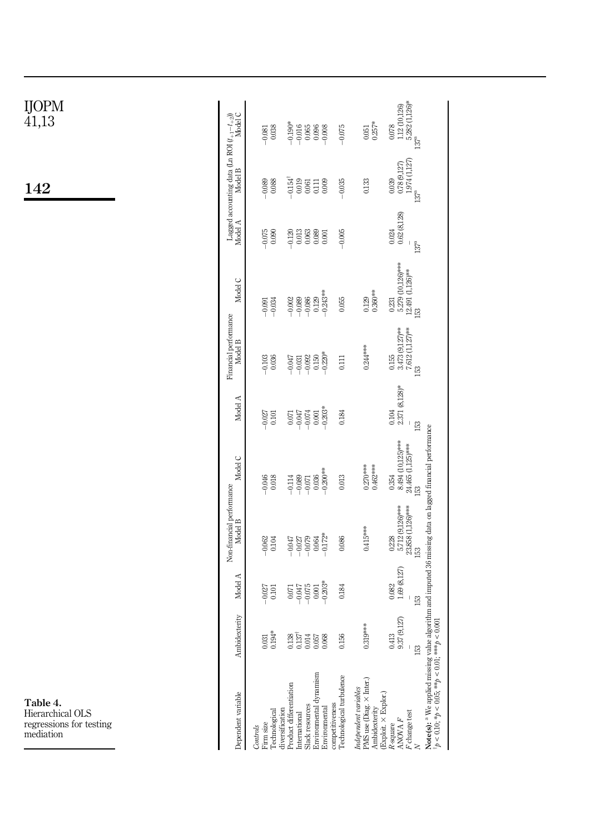| LS<br>r testing                                                                                                                                                                                                   |                                                        |                             |                                                       |                                                          |                                 |                                                         |                                                       |                                                         |                                                                                      |                                                           |
|-------------------------------------------------------------------------------------------------------------------------------------------------------------------------------------------------------------------|--------------------------------------------------------|-----------------------------|-------------------------------------------------------|----------------------------------------------------------|---------------------------------|---------------------------------------------------------|-------------------------------------------------------|---------------------------------------------------------|--------------------------------------------------------------------------------------|-----------------------------------------------------------|
| Dependent variable                                                                                                                                                                                                | Ambidexterity                                          | Model A                     | Non-financial performance<br>Model B                  | Model C                                                  | Model A                         | Financial performance<br>Model B                        | Model C                                               | Model A                                                 | Lagged accounting data (Ln ROI $(t_{+1}-t_{+2})\rangle$ Model A $\land$ Model B      |                                                           |
| Firm size<br>Controls                                                                                                                                                                                             | 0.031                                                  | $-0.027$                    | $-0.062$                                              | $-0.046$                                                 | $-0.027$                        | $-0.103$                                                | $-0.091$                                              | $-0.075$                                                | $-0.089$                                                                             | $-0.081$                                                  |
| diversification<br>Technological                                                                                                                                                                                  | $0.194*$                                               | 0.101                       | 0.104                                                 | 0.018                                                    | 0.101                           | 0.036                                                   | $-0.034$                                              | 0.090                                                   | 0.088                                                                                | 0.038                                                     |
| Product differentiation<br>International                                                                                                                                                                          | $\begin{array}{c} 0.138 \\ 0.137 \\ 0.014 \end{array}$ | <b>CFO00</b><br>0.071       | $-0.047$<br>$-0.027$                                  | $-0.114$<br>$-0.089$                                     | -0.047<br>0.071                 | $-0.047$<br>$-0.031$                                    | $-0.089$<br>$-0.002$                                  | $-0.120$                                                | $-0.154$ <sup>†</sup><br>0.019                                                       | $-0.190*$<br>$-0.016$                                     |
| Slack resources                                                                                                                                                                                                   |                                                        | $-0.075$                    | $-0.079$                                              | $-0.071$                                                 | $-0.074$                        | $-0.092$                                                | $-0.086$                                              | $\begin{array}{c} 0.013 \\ 0.063 \end{array}$           | 0.061                                                                                | 0.065                                                     |
| Environmental dynamism<br>Environmental                                                                                                                                                                           | $0.057$<br>730.0                                       | $-0.203*$<br>$0.001\,$      | $-0.172*$<br>0.064                                    | $-0.200***$<br>0.036                                     | $-0.203*$<br>$0.001\,$          | $-0.220*$<br>0.150                                      | $-0.243***$<br>0.129                                  | 0.089<br>0.001                                          | 0.009<br>$\overline{5}$                                                              | $-0.008$<br>0.096                                         |
| Technological turbulence<br>competitiveness                                                                                                                                                                       | 0.156                                                  | 0.184                       | 0.086                                                 | 0.013                                                    | 0.184                           | 0.111                                                   | 0.055                                                 | $-0.005$                                                | $-0.035$                                                                             | $-0.075$                                                  |
| PMS use (Diag. × Inter.)<br>Independent variables<br>(Exploit. × Explor.)<br>Ambidexterity                                                                                                                        | $0.319***$                                             |                             | $0.415***$                                            | $0.270***$<br>$0.462***$                                 |                                 | $0.244***$                                              | $0.360***$<br>0.129                                   |                                                         | 0.133                                                                                | $0.257*$<br>0.051                                         |
| $\mathcal F$ change test<br>ANOVA F<br>R-square                                                                                                                                                                   | 37(9,127)<br>0.413<br>0<br>153                         | 1.69(8,127)<br>0.082<br>153 | 5.712 (9,126)***<br>23.858 (1,126)***<br>0.228<br>153 | 8.494 (10,125)***<br>$24.465$ (1,125)***<br>0.354<br>153 | $2.371(8,128)*$<br>0.104<br>153 | $3.473(9,127)$ **<br>7.612 $(1,127)$ **<br>0.155<br>153 | 5.279 (10,126)***<br>12.491 (1,126)**<br>0.231<br>153 | 0.62(8,128)<br>0.024<br>$\overline{1}$<br>$137^{\rm a}$ | $\begin{array}{c} 0.78 \ (9.127) \\ 1.974 \ (1.127) \end{array}$<br>0.039<br>$137^a$ | 5.282 (1,126)*<br>1.12 (10,126)<br>0.078<br>$137^{\rm a}$ |
| Note(s): <sup>a</sup> We applied missing value algorithm and imputed 36 missing data on lagged financial performance<br>$\frac{1}{2}p < 0.10; \frac{k}{2}p < 0.05; \frac{k+k}{2}p < 0.01; \frac{k+k}{2}p < 0.001$ |                                                        |                             |                                                       |                                                          |                                 |                                                         |                                                       |                                                         |                                                                                      |                                                           |

<span id="page-15-0"></span>IJOPM 41,13

142

Table 4. Hierarchical OLS regressions for testing mediation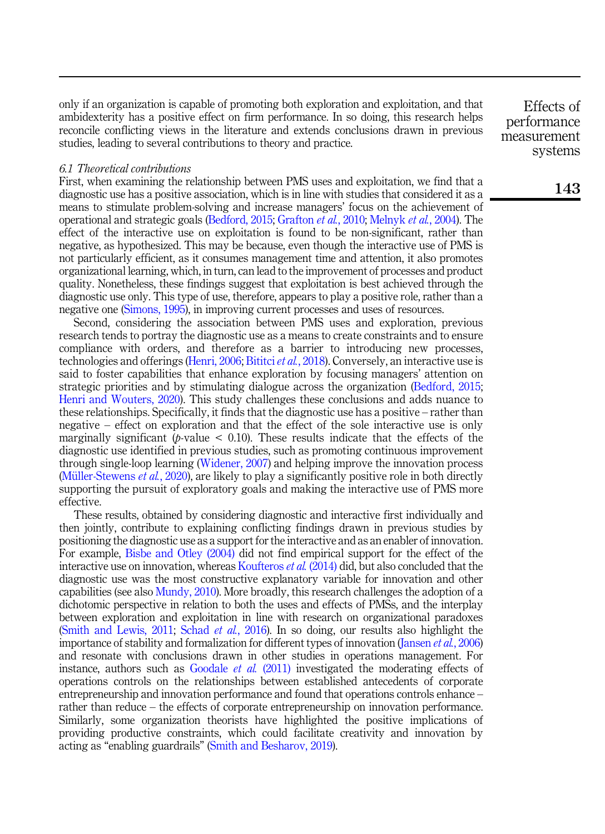only if an organization is capable of promoting both exploration and exploitation, and that ambidexterity has a positive effect on firm performance. In so doing, this research helps reconcile conflicting views in the literature and extends conclusions drawn in previous studies, leading to several contributions to theory and practice.

#### 6.1 Theoretical contributions

First, when examining the relationship between PMS uses and exploitation, we find that a diagnostic use has a positive association, which is in line with studies that considered it as a means to stimulate problem-solving and increase managers' focus on the achievement of operational and strategic goals ([Bedford, 2015](#page-19-8); [Grafton](#page-20-9) et al., 2010; [Melnyk](#page-21-2) et al., 2004). The effect of the interactive use on exploitation is found to be non-significant, rather than negative, as hypothesized. This may be because, even though the interactive use of PMS is not particularly efficient, as it consumes management time and attention, it also promotes organizational learning, which, in turn, can lead to the improvement of processes and product quality. Nonetheless, these findings suggest that exploitation is best achieved through the diagnostic use only. This type of use, therefore, appears to play a positive role, rather than a negative one [\(Simons, 1995](#page-22-1)), in improving current processes and uses of resources.

Second, considering the association between PMS uses and exploration, previous research tends to portray the diagnostic use as a means to create constraints and to ensure compliance with orders, and therefore as a barrier to introducing new processes, technologies and offerings ([Henri, 2006;](#page-20-0) [Bititci](#page-19-1) et al., 2018). Conversely, an interactive use is said to foster capabilities that enhance exploration by focusing managers' attention on strategic priorities and by stimulating dialogue across the organization [\(Bedford, 2015](#page-19-8); [Henri and Wouters, 2020\)](#page-20-1). This study challenges these conclusions and adds nuance to these relationships. Specifically, it finds that the diagnostic use has a positive – rather than negative – effect on exploration and that the effect of the sole interactive use is only marginally significant ( $p$ -value  $\leq$  0.10). These results indicate that the effects of the diagnostic use identified in previous studies, such as promoting continuous improvement through single-loop learning [\(Widener, 2007\)](#page-22-6) and helping improve the innovation process (Müller-Stewens  $et al., 2020$ ), are likely to play a significantly positive role in both directly supporting the pursuit of exploratory goals and making the interactive use of PMS more effective.

These results, obtained by considering diagnostic and interactive first individually and then jointly, contribute to explaining conflicting findings drawn in previous studies by positioning the diagnostic use as a support for the interactive and as an enabler of innovation. For example, [Bisbe and Otley \(2004\)](#page-19-4) did not find empirical support for the effect of the interactive use on innovation, whereas [Koufteros](#page-21-0) *et al.* (2014) did, but also concluded that the diagnostic use was the most constructive explanatory variable for innovation and other capabilities (see also [Mundy, 2010](#page-21-9)). More broadly, this research challenges the adoption of a dichotomic perspective in relation to both the uses and effects of PMSs, and the interplay between exploration and exploitation in line with research on organizational paradoxes ([Smith and Lewis, 2011;](#page-22-4) Schad *et al.*[, 2016](#page-22-3)). In so doing, our results also highlight the importance of stability and formalization for different types of innovation ([Jansen](#page-20-4) *et al.*, 2006) and resonate with conclusions drawn in other studies in operations management. For instance, authors such as [Goodale](#page-20-15) *et al.*  $(2011)$  investigated the moderating effects of operations controls on the relationships between established antecedents of corporate entrepreneurship and innovation performance and found that operations controls enhance – rather than reduce – the effects of corporate entrepreneurship on innovation performance. Similarly, some organization theorists have highlighted the positive implications of providing productive constraints, which could facilitate creativity and innovation by acting as "enabling guardrails" [\(Smith and Besharov, 2019](#page-22-2)).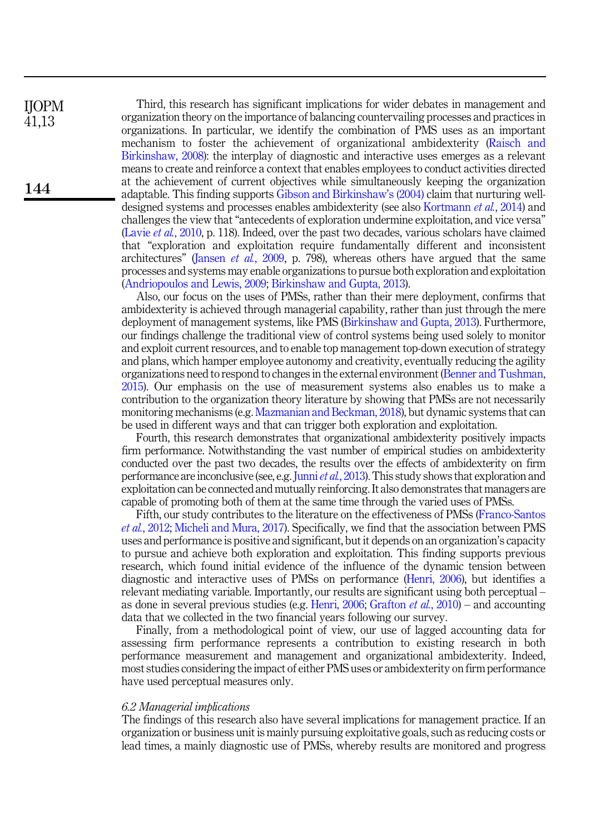Third, this research has significant implications for wider debates in management and organization theory on the importance of balancing countervailing processes and practices in organizations. In particular, we identify the combination of PMS uses as an important mechanism to foster the achievement of organizational ambidexterity ([Raisch and](#page-22-0) [Birkinshaw, 2008](#page-22-0)): the interplay of diagnostic and interactive uses emerges as a relevant means to create and reinforce a context that enables employees to conduct activities directed at the achievement of current objectives while simultaneously keeping the organization adaptable. This finding supports [Gibson and Birkinshaw](#page-20-11)'s (2004) claim that nurturing welldesigned systems and processes enables ambidexterity (see also [Kortmann](#page-21-4) et al., 2014) and challenges the view that "antecedents of exploration undermine exploitation, and vice versa" (Lavie *et al.*[, 2010](#page-21-8), p. 118). Indeed, over the past two decades, various scholars have claimed that "exploration and exploitation require fundamentally different and inconsistent architectures" ([Jansen](#page-20-16) *et al.*, 2009, p. 798), whereas others have argued that the same processes and systems may enable organizations to pursue both exploration and exploitation ([Andriopoulos and Lewis, 2009](#page-19-7); [Birkinshaw and Gupta, 2013](#page-19-2)).

Also, our focus on the uses of PMSs, rather than their mere deployment, confirms that ambidexterity is achieved through managerial capability, rather than just through the mere deployment of management systems, like PMS [\(Birkinshaw and Gupta, 2013\)](#page-19-2). Furthermore, our findings challenge the traditional view of control systems being used solely to monitor and exploit current resources, and to enable top management top-down execution of strategy and plans, which hamper employee autonomy and creativity, eventually reducing the agility organizations need to respond to changes in the external environment ([Benner and Tushman,](#page-19-6) [2015\)](#page-19-6). Our emphasis on the use of measurement systems also enables us to make a contribution to the organization theory literature by showing that PMSs are not necessarily monitoring mechanisms (e.g. [Mazmanian and Beckman, 2018](#page-21-19)), but dynamic systems that can be used in different ways and that can trigger both exploration and exploitation.

Fourth, this research demonstrates that organizational ambidexterity positively impacts firm performance. Notwithstanding the vast number of empirical studies on ambidexterity conducted over the past two decades, the results over the effects of ambidexterity on firm performance are inconclusive (see, e.g. Junni *et al.*[, 2013\)](#page-20-12). This study shows that exploration and exploitation can be connected and mutually reinforcing. It also demonstrates that managers are capable of promoting both of them at the same time through the varied uses of PMSs.

Fifth, our study contributes to the literature on the effectiveness of PMSs [\(Franco-Santos](#page-20-5) et al.[, 2012](#page-20-5); [Micheli and Mura, 2017\)](#page-21-6). Specifically, we find that the association between PMS uses and performance is positive and significant, but it depends on an organization's capacity to pursue and achieve both exploration and exploitation. This finding supports previous research, which found initial evidence of the influence of the dynamic tension between diagnostic and interactive uses of PMSs on performance ([Henri, 2006](#page-20-0)), but identifies a relevant mediating variable. Importantly, our results are significant using both perceptual – as done in several previous studies (e.g. [Henri, 2006](#page-20-0); [Grafton](#page-20-9) *et al.*, 2010) – and accounting data that we collected in the two financial years following our survey.

Finally, from a methodological point of view, our use of lagged accounting data for assessing firm performance represents a contribution to existing research in both performance measurement and management and organizational ambidexterity. Indeed, most studies considering the impact of either PMS uses or ambidexterity on firm performance have used perceptual measures only.

## 6.2 Managerial implications

The findings of this research also have several implications for management practice. If an organization or business unit is mainly pursuing exploitative goals, such as reducing costs or lead times, a mainly diagnostic use of PMSs, whereby results are monitored and progress

IJOPM 41,13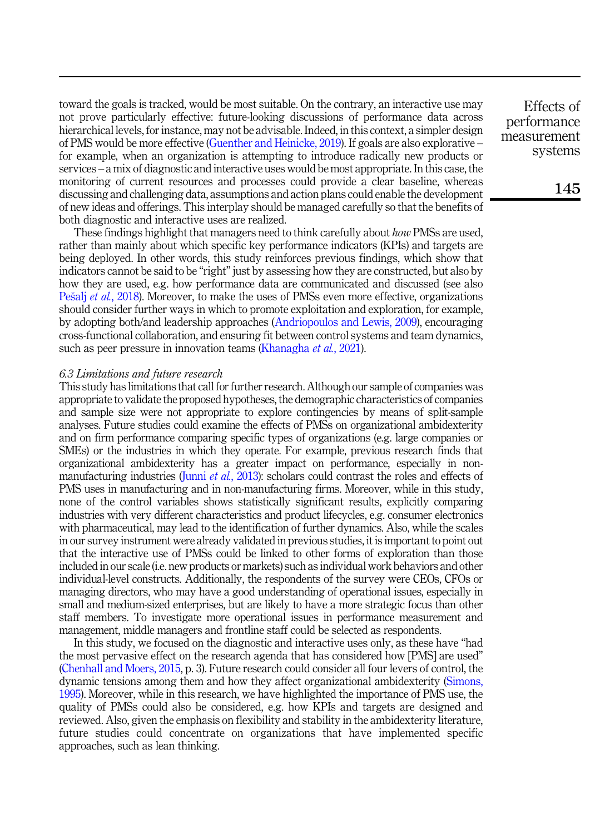toward the goals is tracked, would be most suitable. On the contrary, an interactive use may not prove particularly effective: future-looking discussions of performance data across hierarchical levels, for instance, may not be advisable. Indeed, in this context, a simpler design of PMS would be more effective ([Guenther and Heinicke, 2019](#page-20-8)). If goals are also explorative – for example, when an organization is attempting to introduce radically new products or services – a mix of diagnostic and interactive uses would be most appropriate. In this case, the monitoring of current resources and processes could provide a clear baseline, whereas discussing and challenging data, assumptions and action plans could enable the development of new ideas and offerings. This interplay should be managed carefully so that the benefits of both diagnostic and interactive uses are realized.

These findings highlight that managers need to think carefully about *how* PMSs are used. rather than mainly about which specific key performance indicators (KPIs) and targets are being deployed. In other words, this study reinforces previous findings, which show that indicators cannot be said to be "right" just by assessing how they are constructed, but also by how they are used, e.g. how performance data are communicated and discussed (see also [Pe](#page-21-7)šalj *et al.*[, 2018](#page-21-7)). Moreover, to make the uses of PMSs even more effective, organizations should consider further ways in which to promote exploitation and exploration, for example, by adopting both/and leadership approaches ([Andriopoulos and Lewis, 2009\)](#page-19-7), encouraging cross-functional collaboration, and ensuring fit between control systems and team dynamics, such as peer pressure in innovation teams [\(Khanagha](#page-20-17) et al., 2021).

## 6.3 Limitations and future research

This study has limitations that call for further research. Although our sample of companies was appropriate to validate the proposed hypotheses, the demographic characteristics of companies and sample size were not appropriate to explore contingencies by means of split-sample analyses. Future studies could examine the effects of PMSs on organizational ambidexterity and on firm performance comparing specific types of organizations (e.g. large companies or SMEs) or the industries in which they operate. For example, previous research finds that organizational ambidexterity has a greater impact on performance, especially in nonmanufacturing industries (Junni *et al.*[, 2013\)](#page-20-12): scholars could contrast the roles and effects of PMS uses in manufacturing and in non-manufacturing firms. Moreover, while in this study, none of the control variables shows statistically significant results, explicitly comparing industries with very different characteristics and product lifecycles, e.g. consumer electronics with pharmaceutical, may lead to the identification of further dynamics. Also, while the scales in our survey instrument were already validated in previous studies, it is important to point out that the interactive use of PMSs could be linked to other forms of exploration than those included in our scale (i.e. new products or markets) such as individual work behaviors and other individual-level constructs. Additionally, the respondents of the survey were CEOs, CFOs or managing directors, who may have a good understanding of operational issues, especially in small and medium-sized enterprises, but are likely to have a more strategic focus than other staff members. To investigate more operational issues in performance measurement and management, middle managers and frontline staff could be selected as respondents.

In this study, we focused on the diagnostic and interactive uses only, as these have "had the most pervasive effect on the research agenda that has considered how [PMS] are used" ([Chenhall and Moers, 2015](#page-20-3), p. 3). Future research could consider all four levers of control, the dynamic tensions among them and how they affect organizational ambidexterity [\(Simons,](#page-22-1) [1995\)](#page-22-1). Moreover, while in this research, we have highlighted the importance of PMS use, the quality of PMSs could also be considered, e.g. how KPIs and targets are designed and reviewed. Also, given the emphasis on flexibility and stability in the ambidexterity literature, future studies could concentrate on organizations that have implemented specific approaches, such as lean thinking.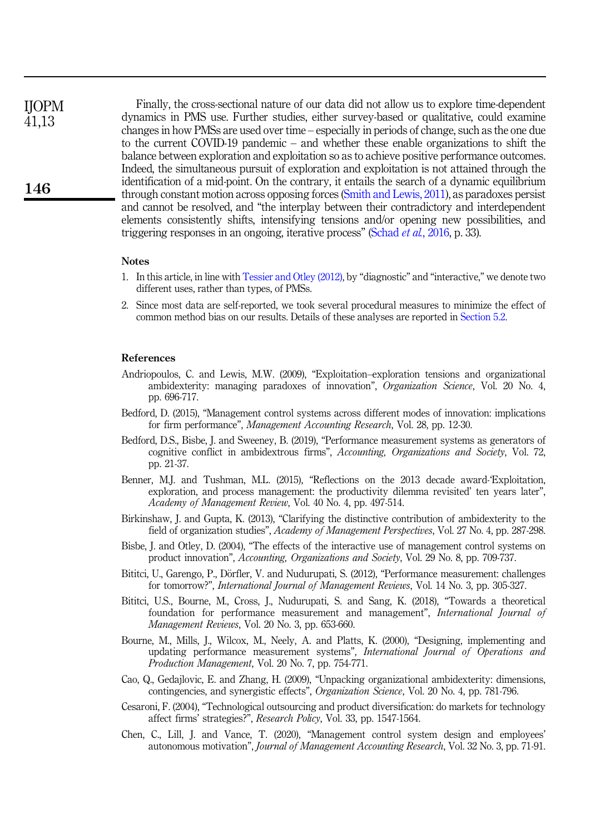Finally, the cross-sectional nature of our data did not allow us to explore time-dependent dynamics in PMS use. Further studies, either survey-based or qualitative, could examine changes in how PMSs are used over time – especially in periods of change, such as the one due to the current COVID-19 pandemic – and whether these enable organizations to shift the balance between exploration and exploitation so as to achieve positive performance outcomes. Indeed, the simultaneous pursuit of exploration and exploitation is not attained through the identification of a mid-point. On the contrary, it entails the search of a dynamic equilibrium through constant motion across opposing forces [\(Smith and Lewis, 2011](#page-22-4)), as paradoxes persist and cannot be resolved, and "the interplay between their contradictory and interdependent elements consistently shifts, intensifying tensions and/or opening new possibilities, and triggering responses in an ongoing, iterative process" ([Schad](#page-22-3) *et al.*, 2016, p. 33). IJOPM 41,13

#### **Notes**

- <span id="page-19-5"></span>1. In this article, in line with [Tessier and Otley \(2012\)](#page-22-15), by "diagnostic" and "interactive," we denote two different uses, rather than types, of PMSs.
- <span id="page-19-11"></span>2. Since most data are self-reported, we took several procedural measures to minimize the effect of common method bias on our results. Details of these analyses are reported in [Section 5.2](#page-11-0).

#### References

- <span id="page-19-7"></span>Andriopoulos, C. and Lewis, M.W. (2009), "Exploitation–exploration tensions and organizational ambidexterity: managing paradoxes of innovation", Organization Science, Vol. 20 No. 4, pp. 696-717.
- <span id="page-19-8"></span>Bedford, D. (2015), "Management control systems across different modes of innovation: implications for firm performance", Management Accounting Research, Vol. 28, pp. 12-30.
- <span id="page-19-3"></span>Bedford, D.S., Bisbe, J. and Sweeney, B. (2019), "Performance measurement systems as generators of cognitive conflict in ambidextrous firms", Accounting, Organizations and Society, Vol. 72, pp. 21-37.
- <span id="page-19-6"></span>Benner, M.J. and Tushman, M.L. (2015), "Reflections on the 2013 decade award-'Exploitation, exploration, and process management: the productivity dilemma revisited' ten years later", Academy of Management Review, Vol. 40 No. 4, pp. 497-514.
- <span id="page-19-2"></span>Birkinshaw, J. and Gupta, K. (2013), "Clarifying the distinctive contribution of ambidexterity to the field of organization studies", Academy of Management Perspectives, Vol. 27 No. 4, pp. 287-298.
- <span id="page-19-4"></span>Bisbe, J. and Otley, D. (2004), "The effects of the interactive use of management control systems on product innovation", Accounting, Organizations and Society, Vol. 29 No. 8, pp. 709-737.
- <span id="page-19-0"></span>Bititci, U., Garengo, P., Dörfler, V. and Nudurupati, S. (2012), "Performance measurement: challenges for tomorrow?", *International Journal of Management Reviews*, Vol. 14 No. 3, pp. 305-327.
- <span id="page-19-1"></span>Bititci, U.S., Bourne, M., Cross, J., Nudurupati, S. and Sang, K. (2018), "Towards a theoretical foundation for performance measurement and management", International Journal of Management Reviews, Vol. 20 No. 3, pp. 653-660.
- <span id="page-19-9"></span>Bourne, M., Mills, J., Wilcox, M., Neely, A. and Platts, K. (2000), "Designing, implementing and updating performance measurement systems", International Journal of Operations and Production Management, Vol. 20 No. 7, pp. 754-771.
- <span id="page-19-12"></span>Cao, Q., Gedajlovic, E. and Zhang, H. (2009), "Unpacking organizational ambidexterity: dimensions, contingencies, and synergistic effects", Organization Science, Vol. 20 No. 4, pp. 781-796.
- <span id="page-19-13"></span>Cesaroni, F. (2004), "Technological outsourcing and product diversification: do markets for technology affect firms' strategies?", Research Policy, Vol. 33, pp. 1547-1564.
- <span id="page-19-10"></span>Chen, C., Lill, J. and Vance, T. (2020), "Management control system design and employees' autonomous motivation", Journal of Management Accounting Research, Vol. 32 No. 3, pp. 71-91.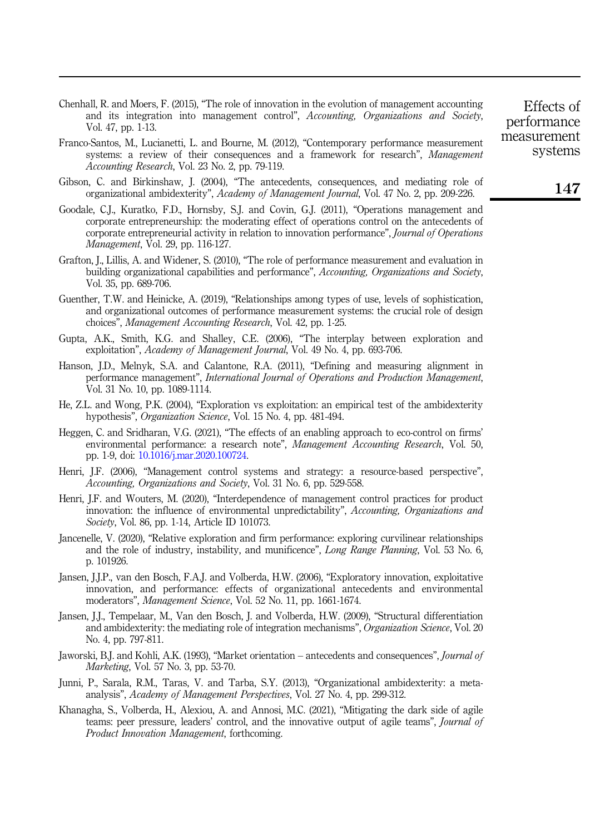<span id="page-20-3"></span>Chenhall, R. and Moers, F. (2015), "The role of innovation in the evolution of management accounting and its integration into management control", Accounting, Organizations and Society, Vol. 47, pp. 1-13.

- <span id="page-20-5"></span>Franco-Santos, M., Lucianetti, L. and Bourne, M. (2012), "Contemporary performance measurement systems: a review of their consequences and a framework for research", Management Accounting Research, Vol. 23 No. 2, pp. 79-119.
- <span id="page-20-11"></span>Gibson, C. and Birkinshaw, J. (2004), "The antecedents, consequences, and mediating role of organizational ambidexterity", Academy of Management Journal, Vol. 47 No. 2, pp. 209-226.
- <span id="page-20-15"></span>Goodale, C.J., Kuratko, F.D., Hornsby, S.J. and Covin, G.J. (2011), "Operations management and corporate entrepreneurship: the moderating effect of operations control on the antecedents of corporate entrepreneurial activity in relation to innovation performance", Journal of Operations Management, Vol. 29, pp. 116-127.
- <span id="page-20-9"></span>Grafton, J., Lillis, A. and Widener, S. (2010), "The role of performance measurement and evaluation in building organizational capabilities and performance", Accounting, Organizations and Society, Vol. 35, pp. 689-706.
- <span id="page-20-8"></span>Guenther, T.W. and Heinicke, A. (2019), "Relationships among types of use, levels of sophistication, and organizational outcomes of performance measurement systems: the crucial role of design choices", Management Accounting Research, Vol. 42, pp. 1-25.
- <span id="page-20-6"></span>Gupta, A.K., Smith, K.G. and Shalley, C.E. (2006), "The interplay between exploration and exploitation", Academy of Management Journal, Vol. 49 No. 4, pp. 693-706.
- <span id="page-20-2"></span>Hanson, J.D., Melnyk, S.A. and Calantone, R.A. (2011), "Defining and measuring alignment in performance management", International Journal of Operations and Production Management, Vol. 31 No. 10, pp. 1089-1114.
- <span id="page-20-14"></span>He, Z.L. and Wong, P.K. (2004), "Exploration vs exploitation: an empirical test of the ambidexterity hypothesis", *Organization Science*, Vol. 15 No. 4, pp. 481-494.
- <span id="page-20-7"></span>Heggen, C. and Sridharan, V.G. (2021), "The effects of an enabling approach to eco-control on firms' environmental performance: a research note", *Management Accounting Research*, Vol. 50, pp. 1-9, doi: [10.1016/j.mar.2020.100724](https://doi.org/10.1016/j.mar.2020.100724).
- <span id="page-20-0"></span>Henri, J.F. (2006), "Management control systems and strategy: a resource-based perspective", Accounting, Organizations and Society, Vol. 31 No. 6, pp. 529-558.
- <span id="page-20-1"></span>Henri, J.F. and Wouters, M. (2020), "Interdependence of management control practices for product innovation: the influence of environmental unpredictability", Accounting, Organizations and Society, Vol. 86, pp. 1-14, Article ID 101073.
- <span id="page-20-10"></span>Jancenelle, V. (2020), "Relative exploration and firm performance: exploring curvilinear relationships and the role of industry, instability, and munificence", Long Range Planning, Vol. 53 No. 6, p. 101926.
- <span id="page-20-4"></span>Jansen, J.J.P., van den Bosch, F.A.J. and Volberda, H.W. (2006), "Exploratory innovation, exploitative innovation, and performance: effects of organizational antecedents and environmental moderators", Management Science, Vol. 52 No. 11, pp. 1661-1674.
- <span id="page-20-16"></span>Jansen, J.J., Tempelaar, M., Van den Bosch, J. and Volberda, H.W. (2009), "Structural differentiation and ambidexterity: the mediating role of integration mechanisms", Organization Science, Vol. 20 No. 4, pp. 797-811.
- <span id="page-20-13"></span>Jaworski, B.J. and Kohli, A.K. (1993), "Market orientation – antecedents and consequences", Journal of Marketing, Vol. 57 No. 3, pp. 53-70.
- <span id="page-20-12"></span>Junni, P., Sarala, R.M., Taras, V. and Tarba, S.Y. (2013), "Organizational ambidexterity: a metaanalysis", Academy of Management Perspectives, Vol. 27 No. 4, pp. 299-312.
- <span id="page-20-17"></span>Khanagha, S., Volberda, H., Alexiou, A. and Annosi, M.C. (2021), "Mitigating the dark side of agile teams: peer pressure, leaders' control, and the innovative output of agile teams", Journal of Product Innovation Management, forthcoming.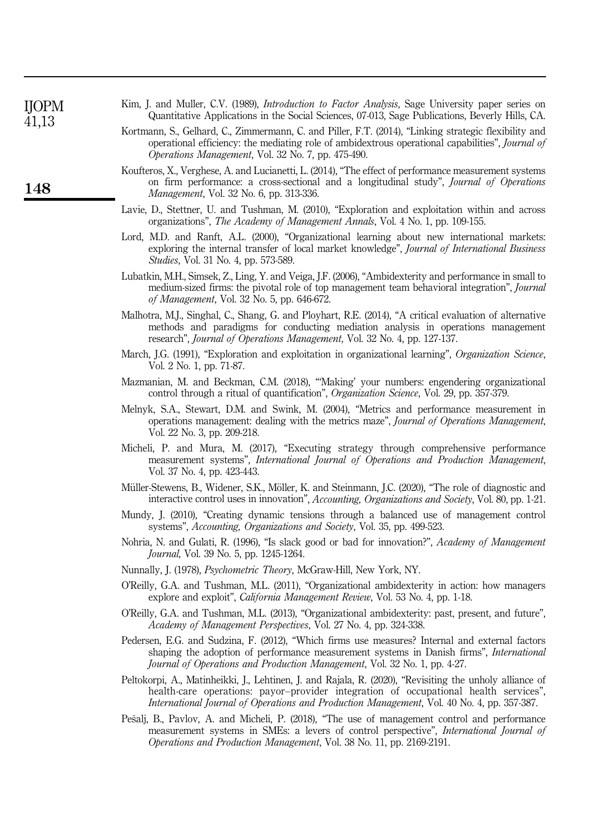<span id="page-21-19"></span><span id="page-21-18"></span><span id="page-21-17"></span><span id="page-21-16"></span><span id="page-21-15"></span><span id="page-21-14"></span><span id="page-21-13"></span><span id="page-21-12"></span><span id="page-21-11"></span><span id="page-21-10"></span><span id="page-21-9"></span><span id="page-21-8"></span><span id="page-21-7"></span><span id="page-21-6"></span><span id="page-21-5"></span><span id="page-21-4"></span><span id="page-21-3"></span><span id="page-21-2"></span><span id="page-21-1"></span><span id="page-21-0"></span>

| <b>IIOPM</b><br>41,13 | Kim, J. and Muller, C.V. (1989), <i>Introduction to Factor Analysis</i> , Sage University paper series on<br>Quantitative Applications in the Social Sciences, 07-013, Sage Publications, Beverly Hills, CA.                                                                                  |
|-----------------------|-----------------------------------------------------------------------------------------------------------------------------------------------------------------------------------------------------------------------------------------------------------------------------------------------|
|                       | Kortmann, S., Gelhard, C., Zimmermann, C. and Piller, F.T. (2014), "Linking strategic flexibility and<br>operational efficiency: the mediating role of ambidextrous operational capabilities", Journal of<br>Operations Management, Vol. 32 No. 7, pp. 475-490.                               |
| 148                   | Koufteros, X., Verghese, A. and Lucianetti, L. (2014), "The effect of performance measurement systems<br>on firm performance: a cross-sectional and a longitudinal study", Journal of Operations<br><i>Management</i> , Vol. 32 No. 6, pp. 313-336.                                           |
|                       | Lavie, D., Stettner, U. and Tushman, M. (2010), "Exploration and exploitation within and across<br>organizations", <i>The Academy of Management Annals</i> , Vol. 4 No. 1, pp. 109-155.                                                                                                       |
|                       | Lord, M.D. and Ranft, A.L. (2000), "Organizational learning about new international markets:<br>exploring the internal transfer of local market knowledge", Journal of International Business<br>Studies, Vol. 31 No. 4, pp. 573-589.                                                         |
|                       | Lubatkin, M.H., Simsek, Z., Ling, Y. and Veiga, J.F. (2006), "Ambidexterity and performance in small to<br>medium-sized firms: the pivotal role of top management team behavioral integration", Journal<br>of Management, Vol. 32 No. 5, pp. 646-672.                                         |
|                       | Malhotra, M.J., Singhal, C., Shang, G. and Ployhart, R.E. (2014), "A critical evaluation of alternative<br>methods and paradigms for conducting mediation analysis in operations management<br>research", Journal of Operations Management, Vol. 32 No. 4, pp. 127-137.                       |
|                       | March, J.G. (1991), "Exploration and exploitation in organizational learning", Organization Science,<br>Vol. 2 No. 1, pp. 71-87.                                                                                                                                                              |
|                       | Mazmanian, M. and Beckman, C.M. (2018), "Making' your numbers: engendering organizational<br>control through a ritual of quantification", Organization Science, Vol. 29, pp. 357-379.                                                                                                         |
|                       | Melnyk, S.A., Stewart, D.M. and Swink, M. (2004), "Metrics and performance measurement in<br>operations management: dealing with the metrics maze", Journal of Operations Management,<br>Vol. 22 No. 3, pp. 209-218.                                                                          |
|                       | Micheli, P. and Mura, M. (2017), "Executing strategy through comprehensive performance<br>measurement systems", International Journal of Operations and Production Management,<br>Vol. 37 No. 4, pp. 423-443.                                                                                 |
|                       | Müller-Stewens, B., Widener, S.K., Möller, K. and Steinmann, J.C. (2020), "The role of diagnostic and<br>interactive control uses in innovation", Accounting, Organizations and Society, Vol. 80, pp. 1-21.                                                                                   |
|                       | Mundy, J. (2010), "Creating dynamic tensions through a balanced use of management control<br>systems", <i>Accounting, Organizations and Society</i> , Vol. 35, pp. 499-523.                                                                                                                   |
|                       | Nohria, N. and Gulati, R. (1996), "Is slack good or bad for innovation?", Academy of Management<br><i>Journal</i> , Vol. 39 No. 5, pp. 1245-1264.                                                                                                                                             |
|                       | Nunnally, J. (1978), Psychometric Theory, McGraw-Hill, New York, NY.                                                                                                                                                                                                                          |
|                       | O'Reilly, G.A. and Tushman, M.L. (2011), "Organizational ambidexterity in action: how managers<br>explore and exploit", <i>California Management Review</i> , Vol. 53 No. 4, pp. 1-18.                                                                                                        |
|                       | O'Reilly, G.A. and Tushman, M.L. (2013), "Organizational ambidexterity: past, present, and future",<br>Academy of Management Perspectives, Vol. 27 No. 4, pp. 324-338.                                                                                                                        |
|                       | Pedersen, E.G. and Sudzina, F. (2012), "Which firms use measures? Internal and external factors<br>shaping the adoption of performance measurement systems in Danish firms", International<br><i>Journal of Operations and Production Management, Vol. 32 No. 1, pp. 4-27.</i>                |
|                       | Peltokorpi, A., Matinheikki, J., Lehtinen, J. and Rajala, R. (2020), "Revisiting the unholy alliance of<br>health-care operations: payor-provider integration of occupational health services",<br>International Journal of Operations and Production Management, Vol. 40 No. 4, pp. 357-387. |
|                       | Pešalj, B., Pavlov, A. and Micheli, P. (2018), "The use of management control and performance<br>measurement systems in SMEs: a levers of control perspective", International Journal of<br>Operations and Production Management, Vol. 38 No. 11, pp. 2169-2191.                              |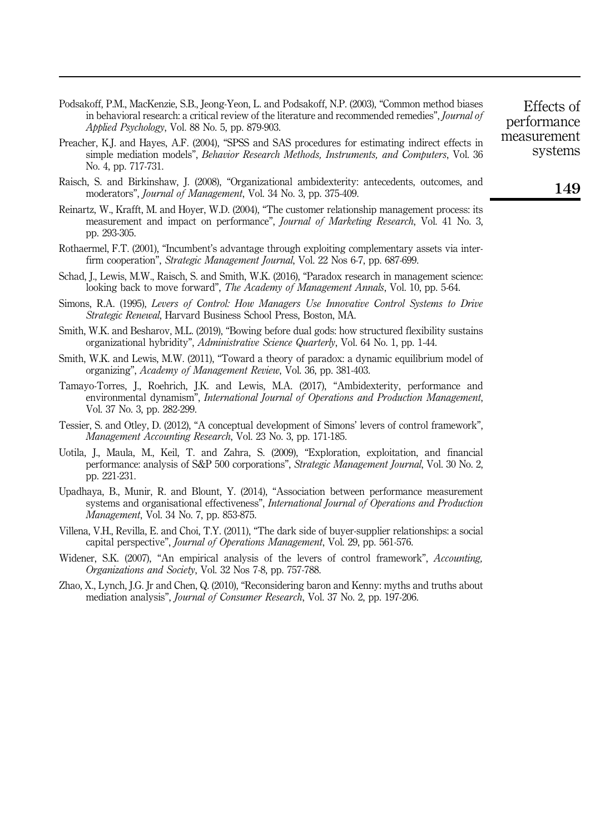- <span id="page-22-12"></span>Podsakoff, P.M., MacKenzie, S.B., Jeong-Yeon, L. and Podsakoff, N.P. (2003), "Common method biases in behavioral research: a critical review of the literature and recommended remedies". *Journal of* Applied Psychology, Vol. 88 No. 5, pp. 879-903.
- <span id="page-22-14"></span>Preacher, K.J. and Hayes, A.F. (2004), "SPSS and SAS procedures for estimating indirect effects in simple mediation models", Behavior Research Methods, Instruments, and Computers, Vol. 36 No. 4, pp. 717-731.
- <span id="page-22-0"></span>Raisch, S. and Birkinshaw, J. (2008), "Organizational ambidexterity: antecedents, outcomes, and moderators", Journal of Management, Vol. 34 No. 3, pp. 375-409.
- <span id="page-22-9"></span>Reinartz, W., Krafft, M. and Hoyer, W.D. (2004), "The customer relationship management process: its measurement and impact on performance", Journal of Marketing Research, Vol. 41 No. 3, pp. 293-305.
- <span id="page-22-10"></span>Rothaermel, F.T. (2001), "Incumbent's advantage through exploiting complementary assets via interfirm cooperation", Strategic Management Journal, Vol. 22 Nos 6-7, pp. 687-699.
- <span id="page-22-3"></span>Schad, J., Lewis, M.W., Raisch, S. and Smith, W.K. (2016), "Paradox research in management science: looking back to move forward", The Academy of Management Annals, Vol. 10, pp. 5-64.
- <span id="page-22-1"></span>Simons, R.A. (1995), Levers of Control: How Managers Use Innovative Control Systems to Drive Strategic Renewal, Harvard Business School Press, Boston, MA.
- <span id="page-22-2"></span>Smith, W.K. and Besharov, M.L. (2019), "Bowing before dual gods: how structured flexibility sustains organizational hybridity", Administrative Science Quarterly, Vol. 64 No. 1, pp. 1-44.
- <span id="page-22-4"></span>Smith, W.K. and Lewis, M.W. (2011), "Toward a theory of paradox: a dynamic equilibrium model of organizing", Academy of Management Review, Vol. 36, pp. 381-403.
- <span id="page-22-5"></span>Tamayo-Torres, J., Roehrich, J.K. and Lewis, M.A. (2017), "Ambidexterity, performance and environmental dynamism", International Journal of Operations and Production Management, Vol. 37 No. 3, pp. 282-299.
- <span id="page-22-15"></span>Tessier, S. and Otley, D. (2012), "A conceptual development of Simons' levers of control framework", Management Accounting Research, Vol. 23 No. 3, pp. 171-185.
- <span id="page-22-7"></span>Uotila, J., Maula, M., Keil, T. and Zahra, S. (2009), "Exploration, exploitation, and financial performance: analysis of S&P 500 corporations", Strategic Management Journal, Vol. 30 No. 2, pp. 221-231.
- <span id="page-22-8"></span>Upadhaya, B., Munir, R. and Blount, Y. (2014), "Association between performance measurement systems and organisational effectiveness", *International Journal of Operations and Production* Management, Vol. 34 No. 7, pp. 853-875.
- <span id="page-22-11"></span>Villena, V.H., Revilla, E. and Choi, T.Y. (2011), "The dark side of buyer-supplier relationships: a social capital perspective", Journal of Operations Management, Vol. 29, pp. 561-576.
- <span id="page-22-6"></span>Widener, S.K. (2007), "An empirical analysis of the levers of control framework", *Accounting*, Organizations and Society, Vol. 32 Nos 7-8, pp. 757-788.
- <span id="page-22-13"></span>Zhao, X., Lynch, J.G. Jr and Chen, Q. (2010), "Reconsidering baron and Kenny: myths and truths about mediation analysis", Journal of Consumer Research, Vol. 37 No. 2, pp. 197-206.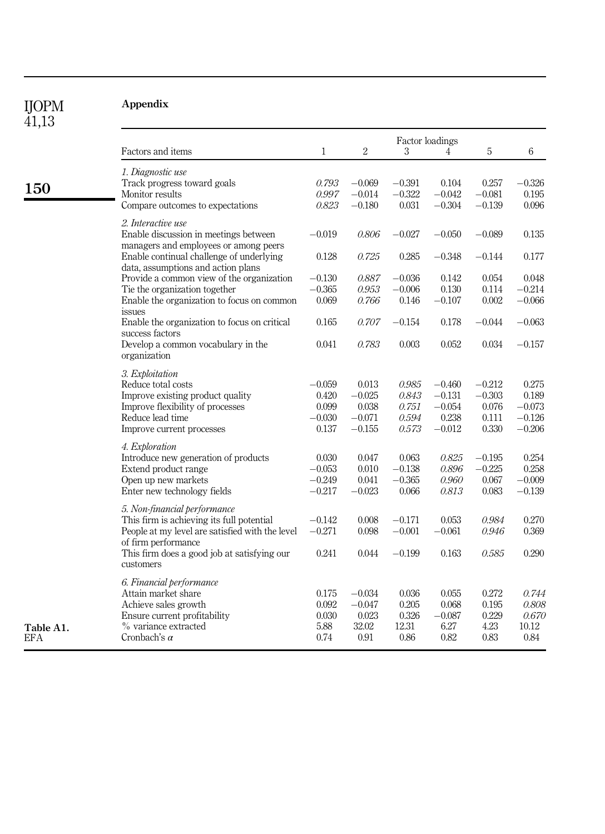<span id="page-23-1"></span><span id="page-23-0"></span>

| <b>IJOPM</b><br>41,13 | <b>Appendix</b>                                                                                      |                   |                      |                   |                      |                      |                |
|-----------------------|------------------------------------------------------------------------------------------------------|-------------------|----------------------|-------------------|----------------------|----------------------|----------------|
|                       | Factors and items                                                                                    | 1                 | $\sqrt{2}$           | 3                 | Factor loadings<br>4 | 5                    | 6              |
|                       |                                                                                                      |                   |                      |                   |                      |                      |                |
| 150                   | 1. Diagnostic use<br>Track progress toward goals                                                     | 0.793             | $-0.069$             | $-0.391$          | 0.104                | 0.257                | $-0.326$       |
|                       | Monitor results<br>Compare outcomes to expectations                                                  | 0.997<br>0.823    | $-0.014$<br>$-0.180$ | $-0.322$<br>0.031 | $-0.042$<br>$-0.304$ | $-0.081$<br>$-0.139$ | 0.195<br>0.096 |
|                       | 2. Interactive use<br>Enable discussion in meetings between<br>managers and employees or among peers | $-0.019$          | 0.806                | $-0.027$          | $-0.050$             | $-0.089$             | 0.135          |
|                       | Enable continual challenge of underlying<br>data, assumptions and action plans                       | 0.128             | 0.725                | 0.285             | $-0.348$             | $-0.144$             | 0.177          |
|                       | Provide a common view of the organization                                                            | $-0.130$          | 0.887                | $-0.036$          | 0.142                | 0.054                | 0.048          |
|                       | Tie the organization together                                                                        | $-0.365$          | 0.953                | $-0.006$          | 0.130                | 0.114                | $-0.214$       |
|                       | Enable the organization to focus on common<br>issues                                                 | 0.069             | 0.766                | 0.146             | $-0.107$             | 0.002                | $-0.066$       |
|                       | Enable the organization to focus on critical<br>success factors                                      | 0.165             | 0.707                | $-0.154$          | 0.178                | $-0.044$             | $-0.063$       |
|                       | Develop a common vocabulary in the<br>organization                                                   | 0.041             | 0.783                | 0.003             | 0.052                | 0.034                | $-0.157$       |
|                       | 3. Exploitation<br>Reduce total costs                                                                | $-0.059$          | 0.013                | $\it 0.985$       | $-0.460$             | $-0.212$             | 0.275          |
|                       | Improve existing product quality                                                                     | 0.420             | $-0.025$             | 0.843             | $-0.131$             | $-0.303$             | 0.189          |
|                       | Improve flexibility of processes                                                                     | 0.099             | 0.038                | 0.751             | $-0.054$             | 0.076                | $-0.073$       |
|                       | Reduce lead time                                                                                     | $-0.030$          | $-0.071$             | 0.594             | 0.238                | 0.111                | $-0.126$       |
|                       | Improve current processes                                                                            | 0.137             | $-0.155$             | 0.573             | $-0.012$             | 0.330                | $-0.206$       |
|                       | 4. Exploration                                                                                       |                   |                      |                   |                      |                      |                |
|                       | Introduce new generation of products<br>Extend product range                                         | 0.030<br>$-0.053$ | 0.047<br>0.010       | 0.063<br>$-0.138$ | 0.825<br>0.896       | $-0.195$<br>$-0.225$ | 0.254<br>0.258 |
|                       | Open up new markets                                                                                  | $-0.249$          | 0.041                | $-0.365$          | 0.960                | 0.067                | $-0.009$       |
|                       | Enter new technology fields                                                                          | $-0.217$          | $-0.023$             | 0.066             | 0.813                | 0.083                | $-0.139$       |
|                       | 5. Non-financial performance                                                                         |                   |                      |                   |                      |                      |                |
|                       | This firm is achieving its full potential                                                            | $-0.142$          | 0.008                | $-0.171$          | 0.053                | 0.984                | 0.270          |
|                       | People at my level are satisfied with the level<br>of firm performance                               | $-0.271$          | 0.098                | $-0.001$          | $-0.061$             | 0.946                | 0.369          |
|                       | This firm does a good job at satisfying our<br>customers                                             | 0.241             | 0.044                | $-0.199$          | 0.163                | 0.585                | 0.290          |
|                       | 6. Financial performance                                                                             |                   |                      |                   |                      |                      |                |
|                       | Attain market share                                                                                  | 0.175             | $-0.034$             | 0.036             | 0.055                | 0.272                | 0.744          |
|                       | Achieve sales growth                                                                                 | 0.092             | $-0.047$             | 0.205             | 0.068                | 0.195                | 0.808          |
|                       | Ensure current profitability<br>% variance extracted                                                 | 0.030<br>5.88     | 0.023<br>32.02       | 0.326<br>12.31    | $-0.087$<br>6.27     | 0.229<br>4.23        | 0.670<br>10.12 |
| Table A1.<br>EFA      | Cronbach's $\alpha$                                                                                  | 0.74              | 0.91                 | 0.86              | 0.82                 | 0.83                 | 0.84           |